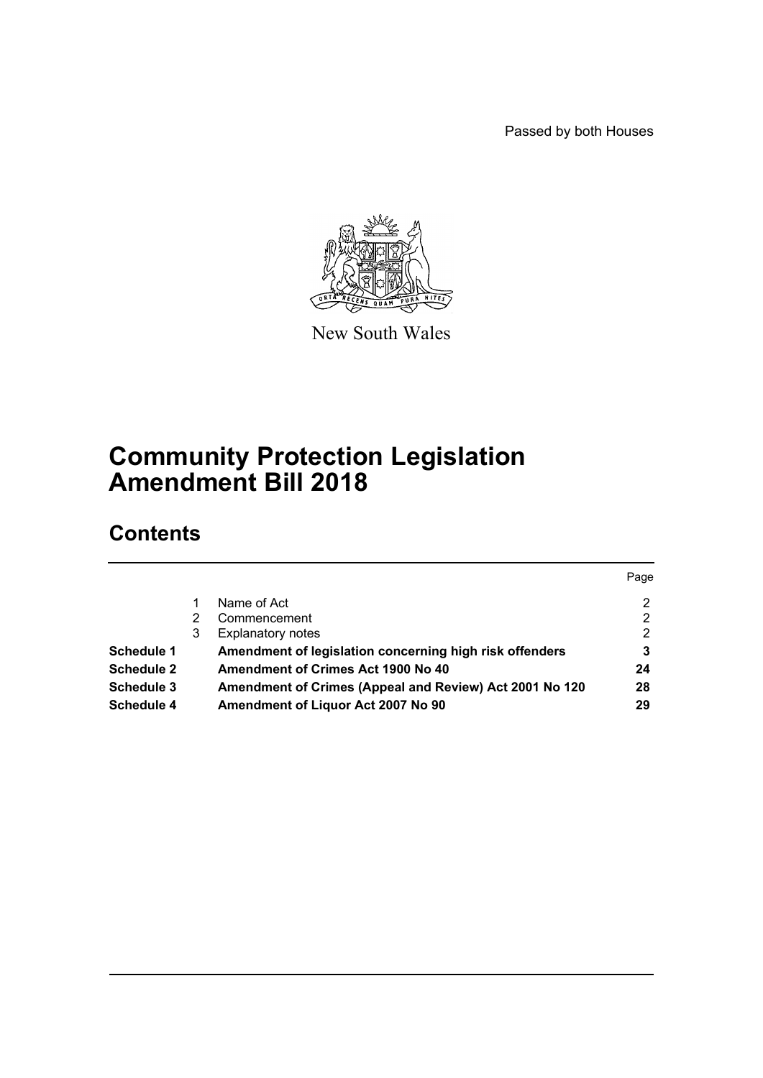Passed by both Houses



New South Wales

# **Community Protection Legislation Amendment Bill 2018**

# **Contents**

|                   |   |                                                         | Page |
|-------------------|---|---------------------------------------------------------|------|
|                   |   | Name of Act                                             | 2    |
|                   |   | Commencement                                            | 2    |
|                   | 3 | <b>Explanatory notes</b>                                | 2    |
| Schedule 1        |   | Amendment of legislation concerning high risk offenders |      |
| <b>Schedule 2</b> |   | <b>Amendment of Crimes Act 1900 No 40</b>               | 24   |
| Schedule 3        |   | Amendment of Crimes (Appeal and Review) Act 2001 No 120 | 28   |
| Schedule 4        |   | Amendment of Liquor Act 2007 No 90                      | 29   |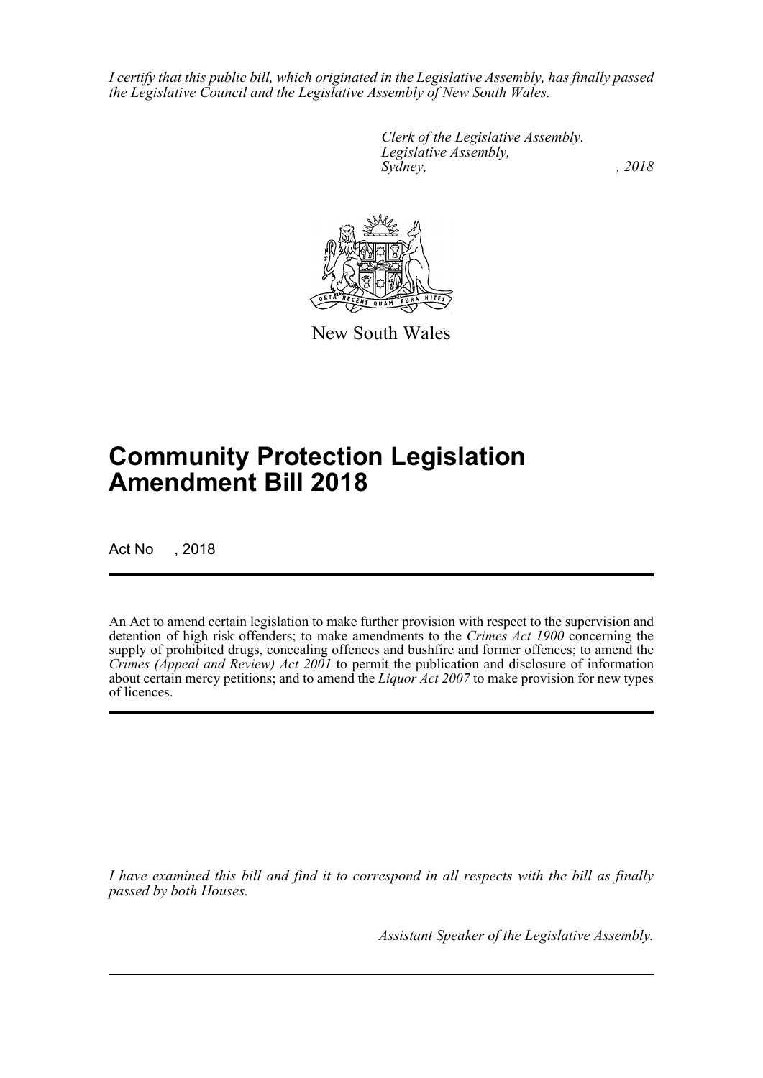*I certify that this public bill, which originated in the Legislative Assembly, has finally passed the Legislative Council and the Legislative Assembly of New South Wales.*

> *Clerk of the Legislative Assembly. Legislative Assembly, Sydney, , 2018*



New South Wales

# **Community Protection Legislation Amendment Bill 2018**

Act No , 2018

An Act to amend certain legislation to make further provision with respect to the supervision and detention of high risk offenders; to make amendments to the *Crimes Act 1900* concerning the supply of prohibited drugs, concealing offences and bushfire and former offences; to amend the *Crimes (Appeal and Review) Act 2001* to permit the publication and disclosure of information about certain mercy petitions; and to amend the *Liquor Act 2007* to make provision for new types of licences.

*I have examined this bill and find it to correspond in all respects with the bill as finally passed by both Houses.*

*Assistant Speaker of the Legislative Assembly.*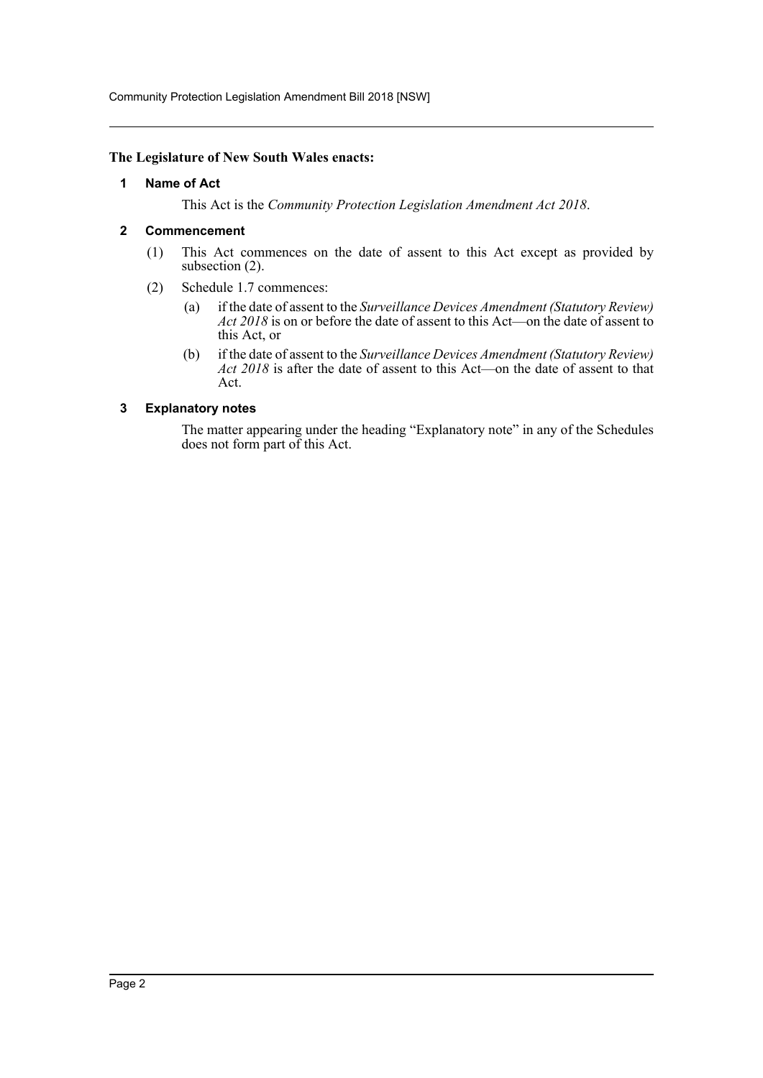Community Protection Legislation Amendment Bill 2018 [NSW]

#### <span id="page-2-0"></span>**The Legislature of New South Wales enacts:**

#### **1 Name of Act**

This Act is the *Community Protection Legislation Amendment Act 2018*.

## <span id="page-2-1"></span>**2 Commencement**

- (1) This Act commences on the date of assent to this Act except as provided by subsection (2).
- (2) Schedule 1.7 commences:
	- (a) if the date of assent to the *Surveillance Devices Amendment (Statutory Review) Act 2018* is on or before the date of assent to this Act—on the date of assent to this Act, or
	- (b) if the date of assent to the *Surveillance Devices Amendment (Statutory Review) Act 2018* is after the date of assent to this Act—on the date of assent to that Act.

# <span id="page-2-2"></span>**3 Explanatory notes**

The matter appearing under the heading "Explanatory note" in any of the Schedules does not form part of this Act.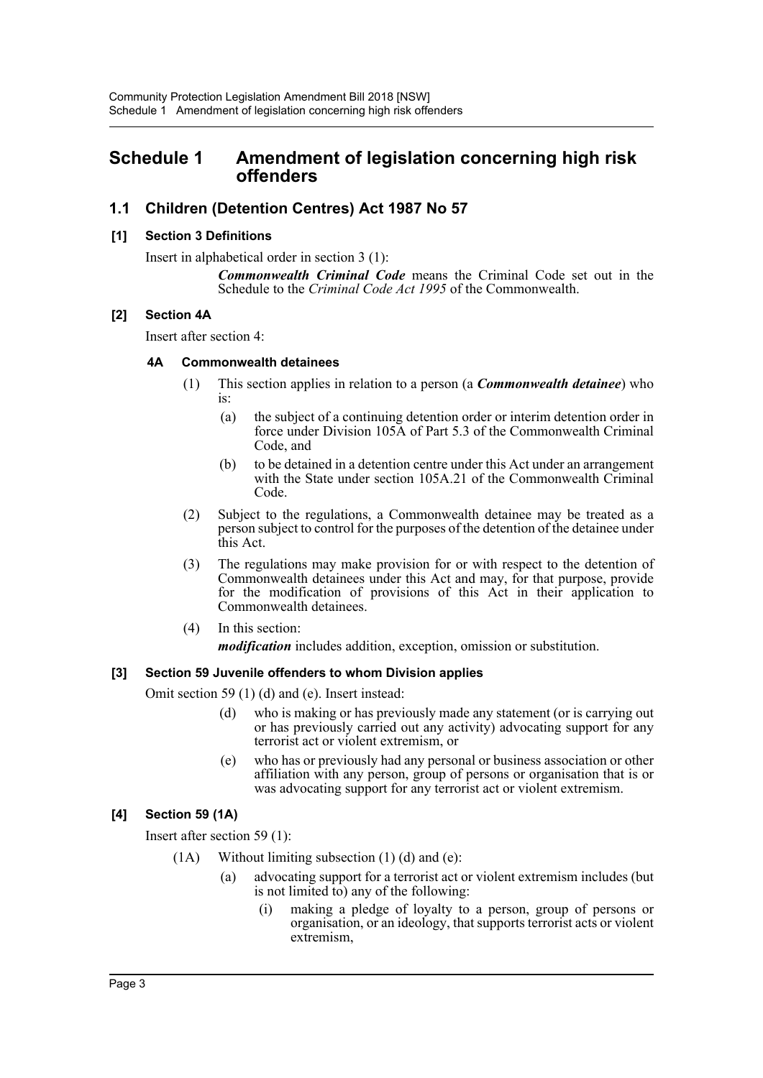# <span id="page-3-0"></span>**Schedule 1 Amendment of legislation concerning high risk offenders**

# **1.1 Children (Detention Centres) Act 1987 No 57**

# **[1] Section 3 Definitions**

Insert in alphabetical order in section 3 (1):

*Commonwealth Criminal Code* means the Criminal Code set out in the Schedule to the *Criminal Code Act 1995* of the Commonwealth.

# **[2] Section 4A**

Insert after section 4:

## **4A Commonwealth detainees**

- (1) This section applies in relation to a person (a *Commonwealth detainee*) who  $i_{S}$ .
	- (a) the subject of a continuing detention order or interim detention order in force under Division 105A of Part 5.3 of the Commonwealth Criminal Code, and
	- (b) to be detained in a detention centre under this Act under an arrangement with the State under section 105A.21 of the Commonwealth Criminal Code.
- (2) Subject to the regulations, a Commonwealth detainee may be treated as a person subject to control for the purposes of the detention of the detainee under this Act.
- (3) The regulations may make provision for or with respect to the detention of Commonwealth detainees under this Act and may, for that purpose, provide for the modification of provisions of this Act in their application to Commonwealth detainees.
- (4) In this section: *modification* includes addition, exception, omission or substitution.

# **[3] Section 59 Juvenile offenders to whom Division applies**

Omit section 59 (1) (d) and (e). Insert instead:

- (d) who is making or has previously made any statement (or is carrying out or has previously carried out any activity) advocating support for any terrorist act or violent extremism, or
- (e) who has or previously had any personal or business association or other affiliation with any person, group of persons or organisation that is or was advocating support for any terrorist act or violent extremism.

# **[4] Section 59 (1A)**

Insert after section 59 (1):

- $(1A)$  Without limiting subsection  $(1)$   $(d)$  and  $(e)$ :
	- (a) advocating support for a terrorist act or violent extremism includes (but is not limited to) any of the following:
		- (i) making a pledge of loyalty to a person, group of persons or organisation, or an ideology, that supports terrorist acts or violent extremism,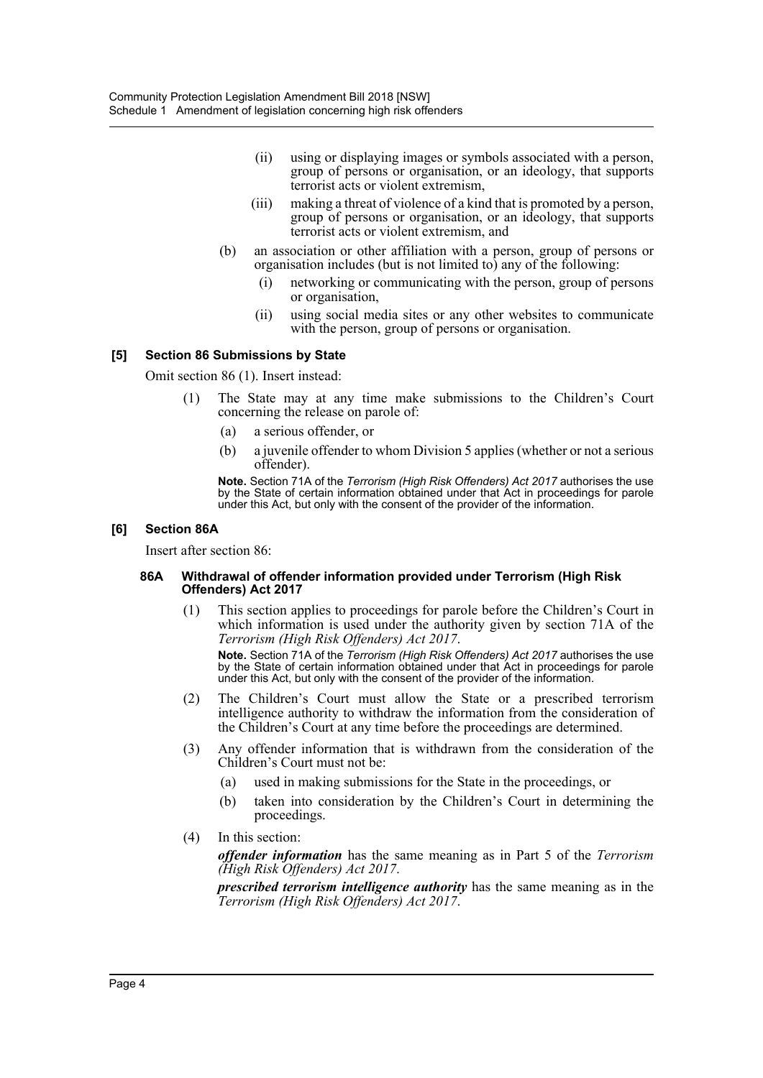- (ii) using or displaying images or symbols associated with a person, group of persons or organisation, or an ideology, that supports terrorist acts or violent extremism,
- (iii) making a threat of violence of a kind that is promoted by a person, group of persons or organisation, or an ideology, that supports terrorist acts or violent extremism, and
- (b) an association or other affiliation with a person, group of persons or organisation includes (but is not limited to) any of the following:
	- (i) networking or communicating with the person, group of persons or organisation,
	- (ii) using social media sites or any other websites to communicate with the person, group of persons or organisation.

## **[5] Section 86 Submissions by State**

Omit section 86 (1). Insert instead:

- (1) The State may at any time make submissions to the Children's Court concerning the release on parole of:
	- (a) a serious offender, or
	- (b) a juvenile offender to whom Division 5 applies (whether or not a serious offender).

**Note.** Section 71A of the *Terrorism (High Risk Offenders) Act 2017* authorises the use by the State of certain information obtained under that Act in proceedings for parole under this Act, but only with the consent of the provider of the information.

#### **[6] Section 86A**

Insert after section 86:

#### **86A Withdrawal of offender information provided under Terrorism (High Risk Offenders) Act 2017**

(1) This section applies to proceedings for parole before the Children's Court in which information is used under the authority given by section 71A of the *Terrorism (High Risk Offenders) Act 2017*.

**Note.** Section 71A of the *Terrorism (High Risk Offenders) Act 2017* authorises the use by the State of certain information obtained under that Act in proceedings for parole under this Act, but only with the consent of the provider of the information.

- (2) The Children's Court must allow the State or a prescribed terrorism intelligence authority to withdraw the information from the consideration of the Children's Court at any time before the proceedings are determined.
- (3) Any offender information that is withdrawn from the consideration of the Children's Court must not be:
	- (a) used in making submissions for the State in the proceedings, or
	- (b) taken into consideration by the Children's Court in determining the proceedings.
- (4) In this section:

*offender information* has the same meaning as in Part 5 of the *Terrorism (High Risk Offenders) Act 2017*.

*prescribed terrorism intelligence authority* has the same meaning as in the *Terrorism (High Risk Offenders) Act 2017*.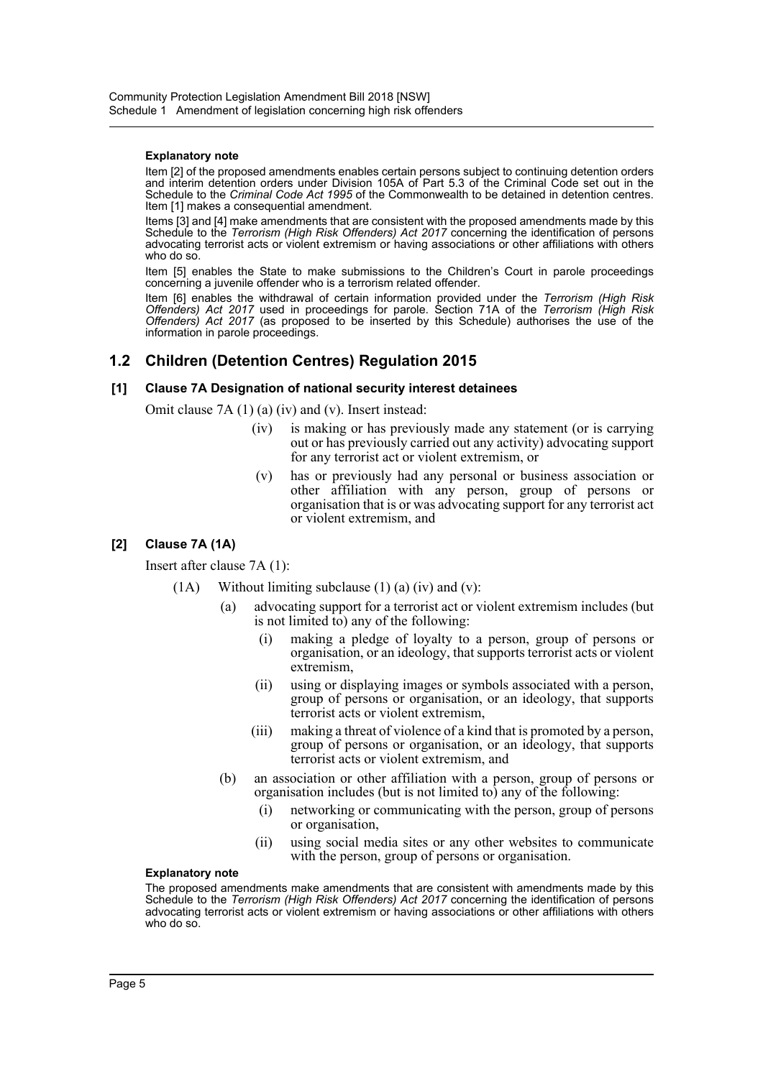#### **Explanatory note**

Item [2] of the proposed amendments enables certain persons subject to continuing detention orders and interim detention orders under Division 105A of Part 5.3 of the Criminal Code set out in the Schedule to the *Criminal Code Act 1995* of the Commonwealth to be detained in detention centres. Item [1] makes a consequential amendment.

Items [3] and [4] make amendments that are consistent with the proposed amendments made by this Schedule to the *Terrorism (High Risk Offenders) Act 2017* concerning the identification of persons advocating terrorist acts or violent extremism or having associations or other affiliations with others who do so.

Item [5] enables the State to make submissions to the Children's Court in parole proceedings concerning a juvenile offender who is a terrorism related offender.

Item [6] enables the withdrawal of certain information provided under the *Terrorism (High Risk Offenders) Act 2017* used in proceedings for parole. Section 71A of the *Terrorism (High Risk Offenders) Act 2017* (as proposed to be inserted by this Schedule) authorises the use of the information in parole proceedings.

## **1.2 Children (Detention Centres) Regulation 2015**

#### **[1] Clause 7A Designation of national security interest detainees**

Omit clause 7A (1) (a) (iv) and (v). Insert instead:

- (iv) is making or has previously made any statement (or is carrying out or has previously carried out any activity) advocating support for any terrorist act or violent extremism, or
- (v) has or previously had any personal or business association or other affiliation with any person, group of persons or organisation that is or was advocating support for any terrorist act or violent extremism, and

#### **[2] Clause 7A (1A)**

Insert after clause 7A (1):

- (1A) Without limiting subclause  $(1)$  (a) (iv) and (v):
	- (a) advocating support for a terrorist act or violent extremism includes (but is not limited to) any of the following:
		- (i) making a pledge of loyalty to a person, group of persons or organisation, or an ideology, that supports terrorist acts or violent extremism,
		- (ii) using or displaying images or symbols associated with a person, group of persons or organisation, or an ideology, that supports terrorist acts or violent extremism,
		- (iii) making a threat of violence of a kind that is promoted by a person, group of persons or organisation, or an ideology, that supports terrorist acts or violent extremism, and
	- (b) an association or other affiliation with a person, group of persons or organisation includes (but is not limited to) any of the following:
		- (i) networking or communicating with the person, group of persons or organisation,
		- (ii) using social media sites or any other websites to communicate with the person, group of persons or organisation.

#### **Explanatory note**

The proposed amendments make amendments that are consistent with amendments made by this Schedule to the *Terrorism (High Risk Offenders) Act 2017* concerning the identification of persons advocating terrorist acts or violent extremism or having associations or other affiliations with others who do so.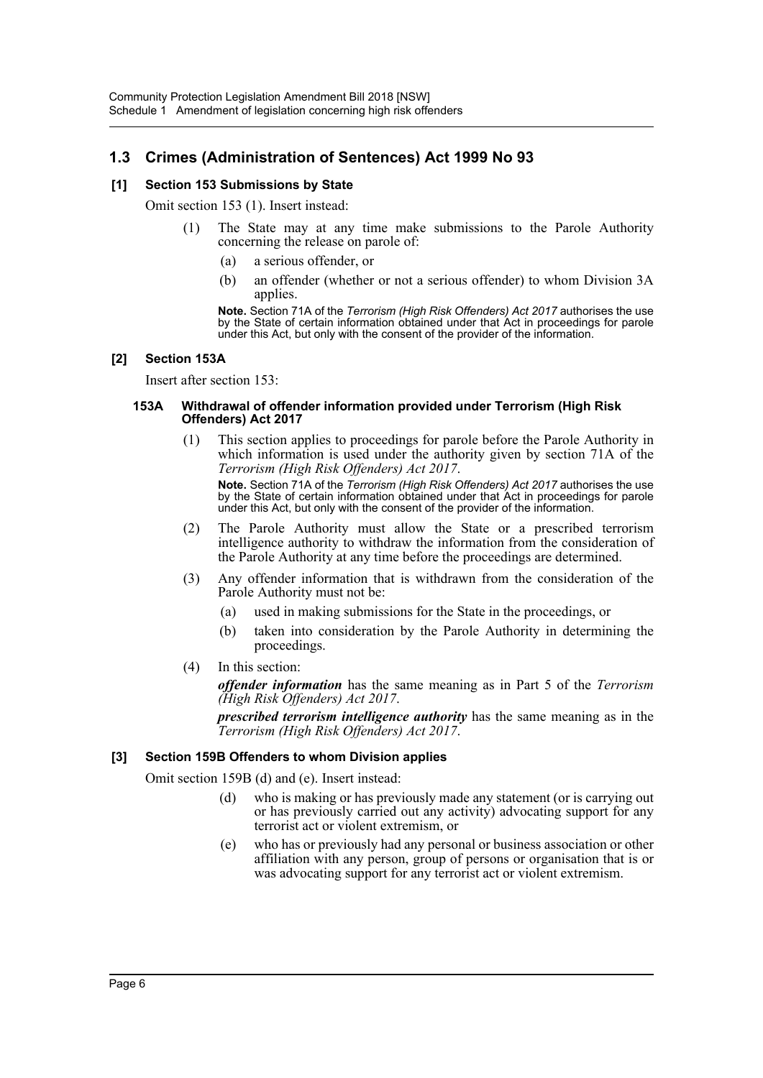# **1.3 Crimes (Administration of Sentences) Act 1999 No 93**

# **[1] Section 153 Submissions by State**

Omit section 153 (1). Insert instead:

- (1) The State may at any time make submissions to the Parole Authority concerning the release on parole of:
	- (a) a serious offender, or
	- (b) an offender (whether or not a serious offender) to whom Division 3A applies.

**Note.** Section 71A of the *Terrorism (High Risk Offenders) Act 2017* authorises the use by the State of certain information obtained under that Act in proceedings for parole under this Act, but only with the consent of the provider of the information.

#### **[2] Section 153A**

Insert after section 153:

#### **153A Withdrawal of offender information provided under Terrorism (High Risk Offenders) Act 2017**

(1) This section applies to proceedings for parole before the Parole Authority in which information is used under the authority given by section 71A of the *Terrorism (High Risk Offenders) Act 2017*.

**Note.** Section 71A of the *Terrorism (High Risk Offenders) Act 2017* authorises the use by the State of certain information obtained under that Act in proceedings for parole under this Act, but only with the consent of the provider of the information.

- (2) The Parole Authority must allow the State or a prescribed terrorism intelligence authority to withdraw the information from the consideration of the Parole Authority at any time before the proceedings are determined.
- (3) Any offender information that is withdrawn from the consideration of the Parole Authority must not be:
	- (a) used in making submissions for the State in the proceedings, or
	- (b) taken into consideration by the Parole Authority in determining the proceedings.
- (4) In this section:

*offender information* has the same meaning as in Part 5 of the *Terrorism (High Risk Offenders) Act 2017*.

*prescribed terrorism intelligence authority* has the same meaning as in the *Terrorism (High Risk Offenders) Act 2017*.

## **[3] Section 159B Offenders to whom Division applies**

Omit section 159B (d) and (e). Insert instead:

- (d) who is making or has previously made any statement (or is carrying out or has previously carried out any activity) advocating support for any terrorist act or violent extremism, or
- (e) who has or previously had any personal or business association or other affiliation with any person, group of persons or organisation that is or was advocating support for any terrorist act or violent extremism.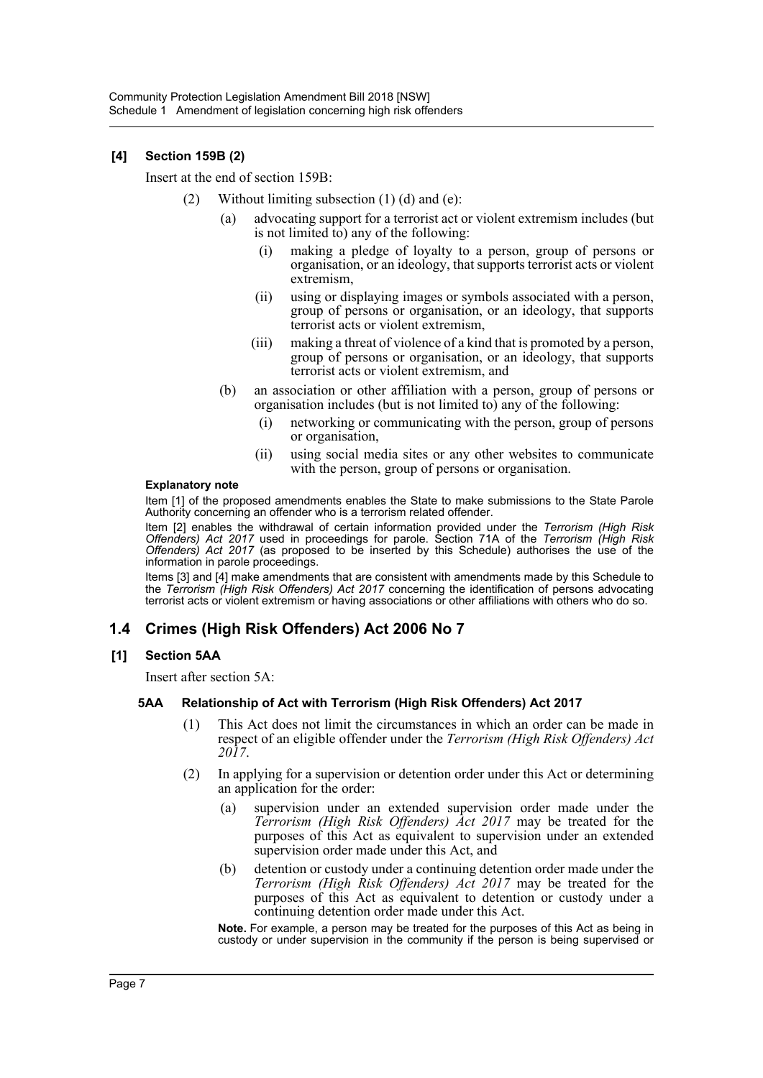# **[4] Section 159B (2)**

Insert at the end of section 159B:

- (2) Without limiting subsection  $(1)$  (d) and (e):
	- (a) advocating support for a terrorist act or violent extremism includes (but is not limited to) any of the following:
		- (i) making a pledge of loyalty to a person, group of persons or organisation, or an ideology, that supports terrorist acts or violent extremism,
		- (ii) using or displaying images or symbols associated with a person, group of persons or organisation, or an ideology, that supports terrorist acts or violent extremism,
		- (iii) making a threat of violence of a kind that is promoted by a person, group of persons or organisation, or an ideology, that supports terrorist acts or violent extremism, and
	- (b) an association or other affiliation with a person, group of persons or organisation includes (but is not limited to) any of the following:
		- (i) networking or communicating with the person, group of persons or organisation,
		- (ii) using social media sites or any other websites to communicate with the person, group of persons or organisation.

#### **Explanatory note**

Item [1] of the proposed amendments enables the State to make submissions to the State Parole Authority concerning an offender who is a terrorism related offender.

Item [2] enables the withdrawal of certain information provided under the *Terrorism (High Risk Offenders) Act 2017* used in proceedings for parole. Section 71A of the *Terrorism (High Risk Offenders) Act 2017* (as proposed to be inserted by this Schedule) authorises the use of the information in parole proceedings.

Items [3] and [4] make amendments that are consistent with amendments made by this Schedule to the *Terrorism (High Risk Offenders) Act 2017* concerning the identification of persons advocating terrorist acts or violent extremism or having associations or other affiliations with others who do so.

# **1.4 Crimes (High Risk Offenders) Act 2006 No 7**

## **[1] Section 5AA**

Insert after section 5A:

## **5AA Relationship of Act with Terrorism (High Risk Offenders) Act 2017**

- (1) This Act does not limit the circumstances in which an order can be made in respect of an eligible offender under the *Terrorism (High Risk Offenders) Act 2017*.
- (2) In applying for a supervision or detention order under this Act or determining an application for the order:
	- (a) supervision under an extended supervision order made under the *Terrorism (High Risk Offenders) Act 2017* may be treated for the purposes of this Act as equivalent to supervision under an extended supervision order made under this Act, and
	- (b) detention or custody under a continuing detention order made under the *Terrorism (High Risk Offenders) Act 2017* may be treated for the purposes of this Act as equivalent to detention or custody under a continuing detention order made under this Act.

**Note.** For example, a person may be treated for the purposes of this Act as being in custody or under supervision in the community if the person is being supervised or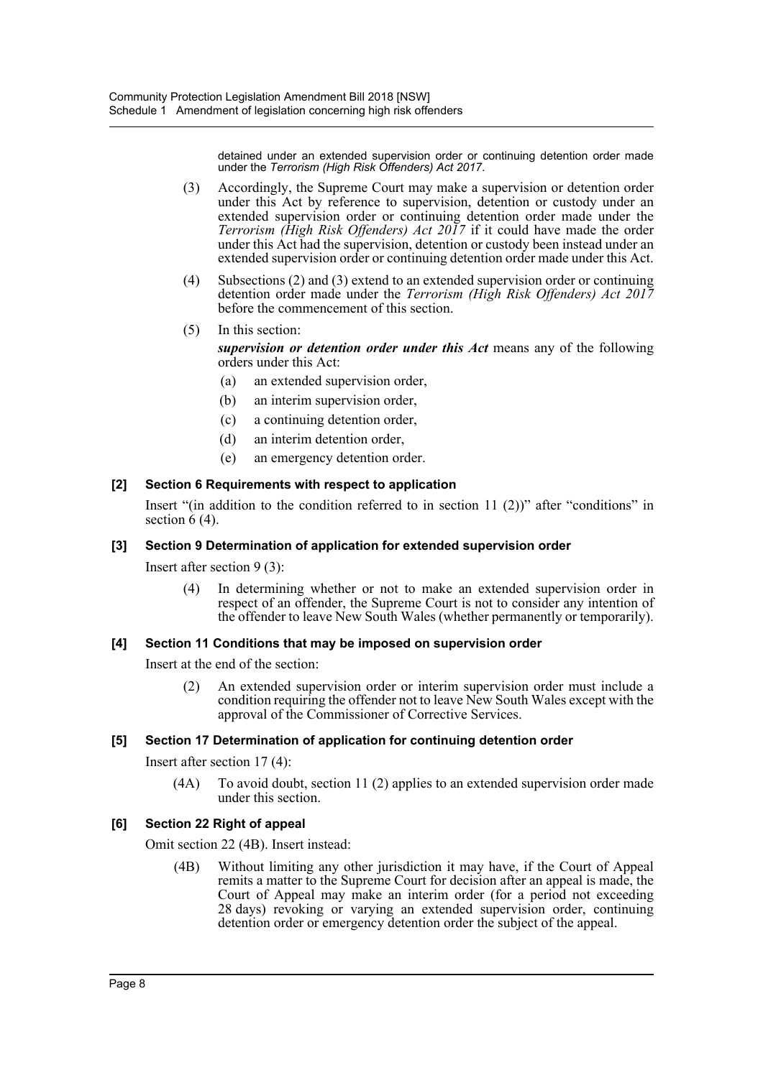detained under an extended supervision order or continuing detention order made under the *Terrorism (High Risk Offenders) Act 2017*.

- (3) Accordingly, the Supreme Court may make a supervision or detention order under this Act by reference to supervision, detention or custody under an extended supervision order or continuing detention order made under the *Terrorism (High Risk Offenders) Act 2017* if it could have made the order under this Act had the supervision, detention or custody been instead under an extended supervision order or continuing detention order made under this Act.
- (4) Subsections (2) and (3) extend to an extended supervision order or continuing detention order made under the *Terrorism (High Risk Offenders) Act 2017* before the commencement of this section.
- (5) In this section: *supervision or detention order under this Act* means any of the following orders under this Act:
	- (a) an extended supervision order,
	- (b) an interim supervision order,
	- (c) a continuing detention order,
	- (d) an interim detention order,
	- (e) an emergency detention order.

## **[2] Section 6 Requirements with respect to application**

Insert "(in addition to the condition referred to in section  $11$  (2))" after "conditions" in section  $6(4)$ .

## **[3] Section 9 Determination of application for extended supervision order**

Insert after section 9 (3):

(4) In determining whether or not to make an extended supervision order in respect of an offender, the Supreme Court is not to consider any intention of the offender to leave New South Wales (whether permanently or temporarily).

#### **[4] Section 11 Conditions that may be imposed on supervision order**

Insert at the end of the section:

(2) An extended supervision order or interim supervision order must include a condition requiring the offender not to leave New South Wales except with the approval of the Commissioner of Corrective Services.

## **[5] Section 17 Determination of application for continuing detention order**

Insert after section 17 (4):

(4A) To avoid doubt, section 11 (2) applies to an extended supervision order made under this section.

## **[6] Section 22 Right of appeal**

Omit section 22 (4B). Insert instead:

(4B) Without limiting any other jurisdiction it may have, if the Court of Appeal remits a matter to the Supreme Court for decision after an appeal is made, the Court of Appeal may make an interim order (for a period not exceeding 28 days) revoking or varying an extended supervision order, continuing detention order or emergency detention order the subject of the appeal.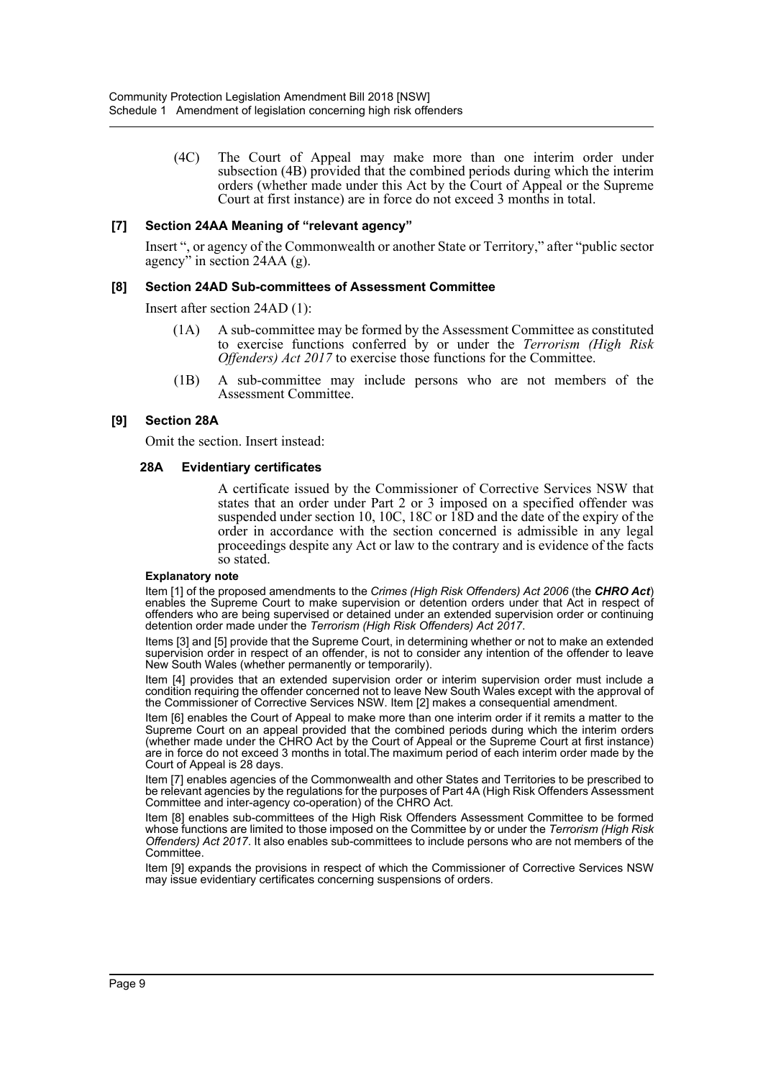(4C) The Court of Appeal may make more than one interim order under subsection (4B) provided that the combined periods during which the interim orders (whether made under this Act by the Court of Appeal or the Supreme Court at first instance) are in force do not exceed 3 months in total.

#### **[7] Section 24AA Meaning of "relevant agency"**

Insert ", or agency of the Commonwealth or another State or Territory," after "public sector agency" in section 24AA (g).

#### **[8] Section 24AD Sub-committees of Assessment Committee**

Insert after section 24AD (1):

- (1A) A sub-committee may be formed by the Assessment Committee as constituted to exercise functions conferred by or under the *Terrorism (High Risk Offenders) Act 2017* to exercise those functions for the Committee.
- (1B) A sub-committee may include persons who are not members of the Assessment Committee.

#### **[9] Section 28A**

Omit the section. Insert instead:

#### **28A Evidentiary certificates**

A certificate issued by the Commissioner of Corrective Services NSW that states that an order under Part 2 or 3 imposed on a specified offender was suspended under section 10, 10C, 18C or 18D and the date of the expiry of the order in accordance with the section concerned is admissible in any legal proceedings despite any Act or law to the contrary and is evidence of the facts so stated.

#### **Explanatory note**

Item [1] of the proposed amendments to the *Crimes (High Risk Offenders) Act 2006* (the *CHRO Act*) enables the Supreme Court to make supervision or detention orders under that Act in respect of offenders who are being supervised or detained under an extended supervision order or continuing detention order made under the *Terrorism (High Risk Offenders) Act 2017*.

Items [3] and [5] provide that the Supreme Court, in determining whether or not to make an extended supervision order in respect of an offender, is not to consider any intention of the offender to leave New South Wales (whether permanently or temporarily).

Item [4] provides that an extended supervision order or interim supervision order must include a condition requiring the offender concerned not to leave New South Wales except with the approval of the Commissioner of Corrective Services NSW. Item [2] makes a consequential amendment.

Item [6] enables the Court of Appeal to make more than one interim order if it remits a matter to the Supreme Court on an appeal provided that the combined periods during which the interim orders (whether made under the CHRO Act by the Court of Appeal or the Supreme Court at first instance) are in force do not exceed 3 months in total.The maximum period of each interim order made by the Court of Appeal is 28 days.

Item [7] enables agencies of the Commonwealth and other States and Territories to be prescribed to be relevant agencies by the regulations for the purposes of Part 4A (High Risk Offenders Assessment Committee and inter-agency co-operation) of the CHRO Act.

Item [8] enables sub-committees of the High Risk Offenders Assessment Committee to be formed whose functions are limited to those imposed on the Committee by or under the *Terrorism (High Risk Offenders) Act 2017*. It also enables sub-committees to include persons who are not members of the Committee.

Item [9] expands the provisions in respect of which the Commissioner of Corrective Services NSW may issue evidentiary certificates concerning suspensions of orders.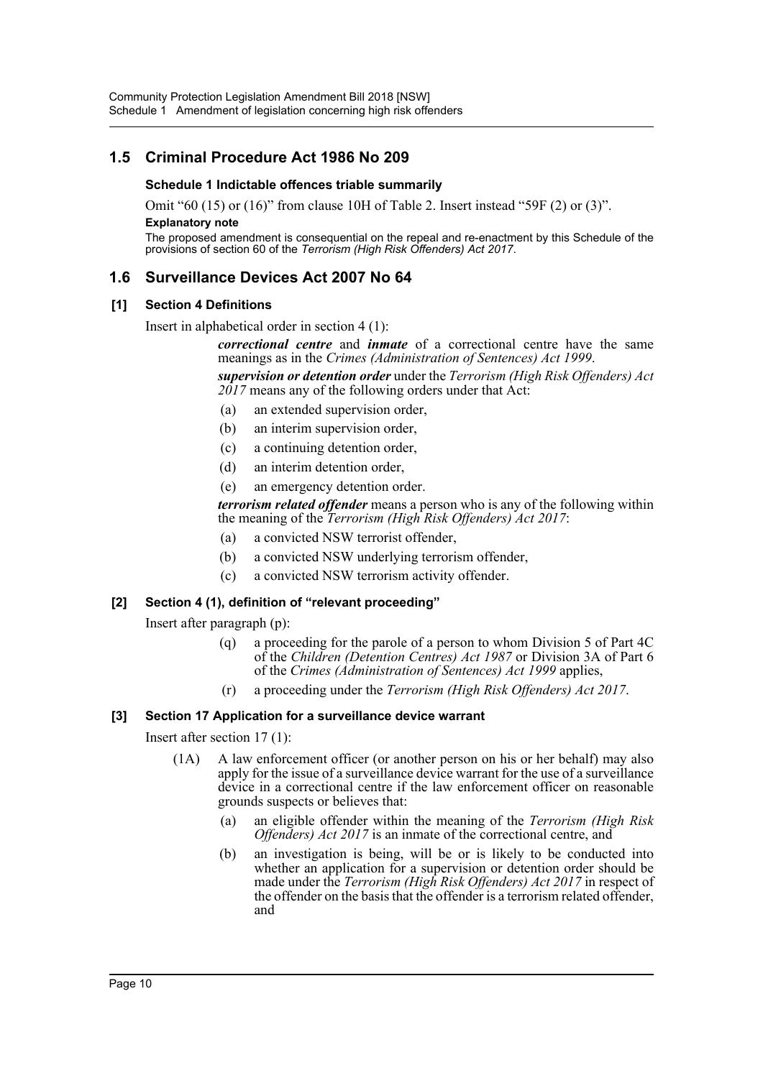# **1.5 Criminal Procedure Act 1986 No 209**

# **Schedule 1 Indictable offences triable summarily**

Omit "60 (15) or (16)" from clause 10H of Table 2. Insert instead "59F (2) or (3)".

#### **Explanatory note**

The proposed amendment is consequential on the repeal and re-enactment by this Schedule of the provisions of section 60 of the *Terrorism (High Risk Offenders) Act 2017*.

# **1.6 Surveillance Devices Act 2007 No 64**

# **[1] Section 4 Definitions**

Insert in alphabetical order in section 4 (1):

*correctional centre* and *inmate* of a correctional centre have the same meanings as in the *Crimes (Administration of Sentences) Act 1999*.

*supervision or detention order* under the *Terrorism (High Risk Offenders) Act 2017* means any of the following orders under that Act:

- (a) an extended supervision order,
- (b) an interim supervision order,
- (c) a continuing detention order,
- (d) an interim detention order,
- (e) an emergency detention order.

*terrorism related offender* means a person who is any of the following within the meaning of the *Terrorism (High Risk Offenders) Act 2017*:

- (a) a convicted NSW terrorist offender,
- (b) a convicted NSW underlying terrorism offender,
- (c) a convicted NSW terrorism activity offender.

# **[2] Section 4 (1), definition of "relevant proceeding"**

Insert after paragraph (p):

- (q) a proceeding for the parole of a person to whom Division 5 of Part 4C of the *Children (Detention Centres) Act 1987* or Division 3A of Part 6 of the *Crimes (Administration of Sentences) Act 1999* applies,
- (r) a proceeding under the *Terrorism (High Risk Offenders) Act 2017*.

# **[3] Section 17 Application for a surveillance device warrant**

Insert after section 17 (1):

- (1A) A law enforcement officer (or another person on his or her behalf) may also apply for the issue of a surveillance device warrant for the use of a surveillance device in a correctional centre if the law enforcement officer on reasonable grounds suspects or believes that:
	- (a) an eligible offender within the meaning of the *Terrorism (High Risk Offenders) Act 2017* is an inmate of the correctional centre, and
	- (b) an investigation is being, will be or is likely to be conducted into whether an application for a supervision or detention order should be made under the *Terrorism (High Risk Offenders) Act 2017* in respect of the offender on the basis that the offender is a terrorism related offender, and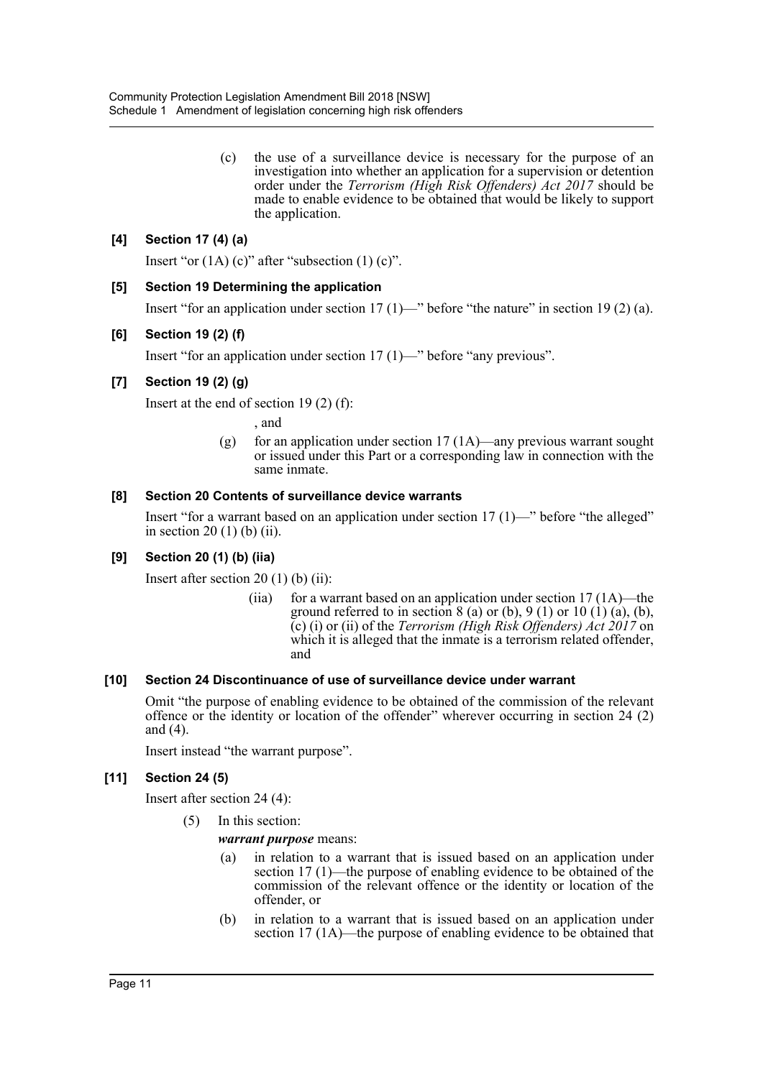(c) the use of a surveillance device is necessary for the purpose of an investigation into whether an application for a supervision or detention order under the *Terrorism (High Risk Offenders) Act 2017* should be made to enable evidence to be obtained that would be likely to support the application.

# **[4] Section 17 (4) (a)**

Insert "or  $(1A)$  (c)" after "subsection  $(1)$  (c)".

# **[5] Section 19 Determining the application**

Insert "for an application under section 17  $(1)$ —" before "the nature" in section 19  $(2)$  (a).

# **[6] Section 19 (2) (f)**

Insert "for an application under section 17 (1)—" before "any previous".

# **[7] Section 19 (2) (g)**

Insert at the end of section 19 (2) (f):

, and

(g) for an application under section  $17 (1A)$ —any previous warrant sought or issued under this Part or a corresponding law in connection with the same inmate.

## **[8] Section 20 Contents of surveillance device warrants**

Insert "for a warrant based on an application under section  $17 (1)$ —" before "the alleged" in section 20 (1) (b) (ii).

## **[9] Section 20 (1) (b) (iia)**

Insert after section  $20(1)$  (b) (ii):

(iia) for a warrant based on an application under section  $17 (1A)$ —the ground referred to in section  $8$  (a) or (b),  $9$  (1) or 10 (1) (a), (b), (c) (i) or (ii) of the *Terrorism (High Risk Offenders) Act 2017* on which it is alleged that the inmate is a terrorism related offender, and

## **[10] Section 24 Discontinuance of use of surveillance device under warrant**

Omit "the purpose of enabling evidence to be obtained of the commission of the relevant offence or the identity or location of the offender" wherever occurring in section 24 (2) and (4).

Insert instead "the warrant purpose".

## **[11] Section 24 (5)**

Insert after section 24 (4):

(5) In this section:

*warrant purpose* means:

- (a) in relation to a warrant that is issued based on an application under section 17 (1)—the purpose of enabling evidence to be obtained of the commission of the relevant offence or the identity or location of the offender, or
- (b) in relation to a warrant that is issued based on an application under section 17 (1A)—the purpose of enabling evidence to be obtained that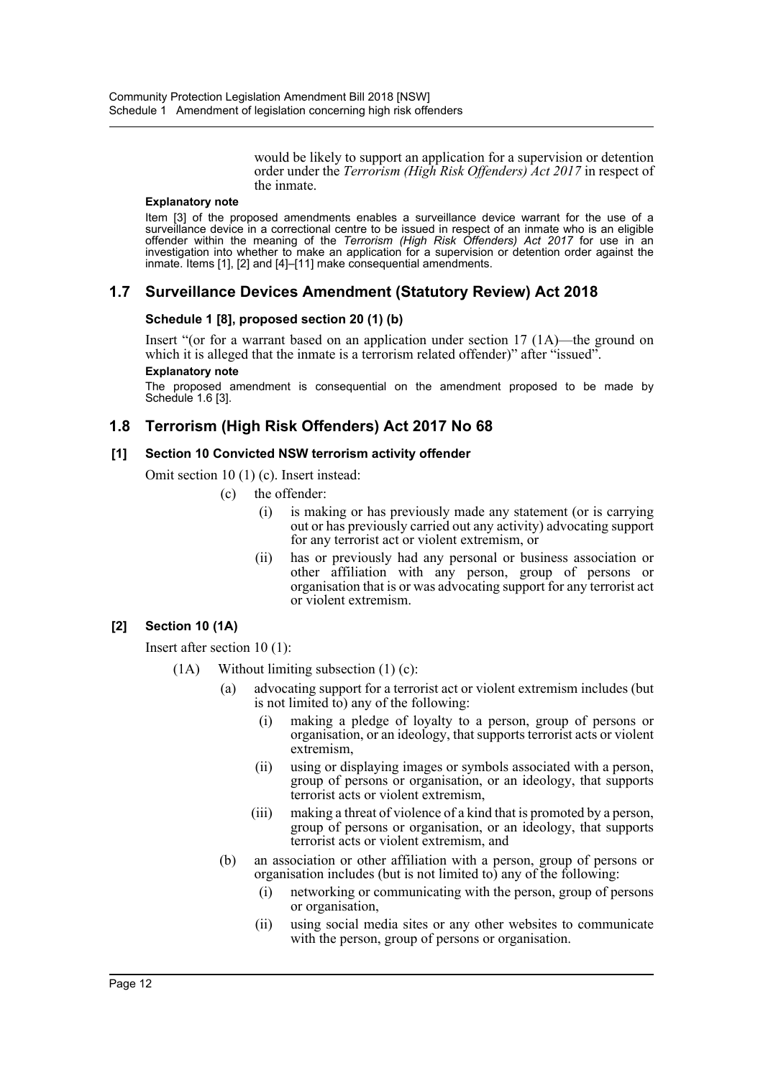would be likely to support an application for a supervision or detention order under the *Terrorism (High Risk Offenders) Act 2017* in respect of the inmate.

#### **Explanatory note**

Item [3] of the proposed amendments enables a surveillance device warrant for the use of a surveillance device in a correctional centre to be issued in respect of an inmate who is an eligible offender within the meaning of the *Terrorism (High Risk Offenders) Act 2017* for use in an investigation into whether to make an application for a supervision or detention order against the inmate. Items [1], [2] and [4]–[11] make consequential amendments.

# **1.7 Surveillance Devices Amendment (Statutory Review) Act 2018**

## **Schedule 1 [8], proposed section 20 (1) (b)**

Insert "(or for a warrant based on an application under section 17  $(1A)$ —the ground on which it is alleged that the inmate is a terrorism related offender)" after "issued".

# **Explanatory note**

The proposed amendment is consequential on the amendment proposed to be made by Schedule 1.6 [3].

# **1.8 Terrorism (High Risk Offenders) Act 2017 No 68**

# **[1] Section 10 Convicted NSW terrorism activity offender**

Omit section 10 (1) (c). Insert instead:

- (c) the offender:
	- (i) is making or has previously made any statement (or is carrying out or has previously carried out any activity) advocating support for any terrorist act or violent extremism, or
	- (ii) has or previously had any personal or business association or other affiliation with any person, group of persons or organisation that is or was advocating support for any terrorist act or violent extremism.

## **[2] Section 10 (1A)**

Insert after section 10 (1):

- $(1)$  Without limiting subsection  $(1)$  (c):
	- (a) advocating support for a terrorist act or violent extremism includes (but is not limited to) any of the following:
		- (i) making a pledge of loyalty to a person, group of persons or organisation, or an ideology, that supports terrorist acts or violent extremism,
		- (ii) using or displaying images or symbols associated with a person, group of persons or organisation, or an ideology, that supports terrorist acts or violent extremism,
		- (iii) making a threat of violence of a kind that is promoted by a person, group of persons or organisation, or an ideology, that supports terrorist acts or violent extremism, and
	- (b) an association or other affiliation with a person, group of persons or organisation includes (but is not limited to) any of the following:
		- (i) networking or communicating with the person, group of persons or organisation,
		- (ii) using social media sites or any other websites to communicate with the person, group of persons or organisation.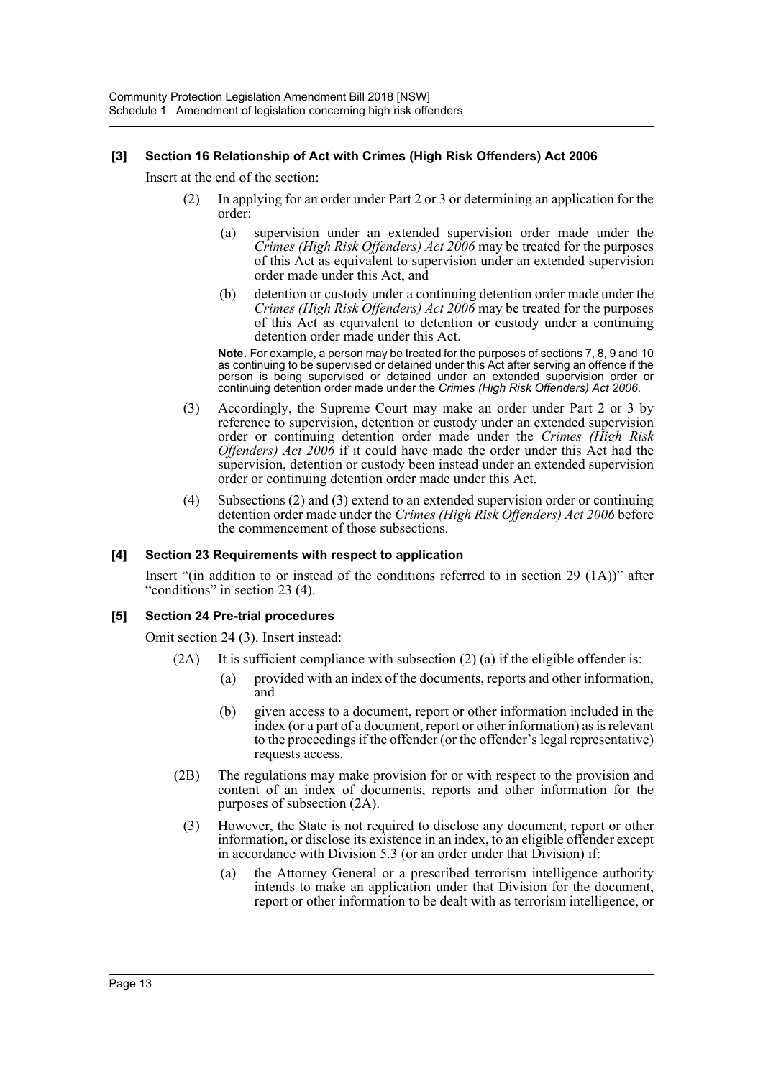# **[3] Section 16 Relationship of Act with Crimes (High Risk Offenders) Act 2006**

Insert at the end of the section:

- (2) In applying for an order under Part 2 or 3 or determining an application for the order:
	- (a) supervision under an extended supervision order made under the *Crimes (High Risk Offenders) Act 2006* may be treated for the purposes of this Act as equivalent to supervision under an extended supervision order made under this Act, and
	- (b) detention or custody under a continuing detention order made under the *Crimes (High Risk Offenders) Act 2006* may be treated for the purposes of this Act as equivalent to detention or custody under a continuing detention order made under this Act.

**Note.** For example, a person may be treated for the purposes of sections 7, 8, 9 and 10 as continuing to be supervised or detained under this Act after serving an offence if the person is being supervised or detained under an extended supervision order or continuing detention order made under the *Crimes (High Risk Offenders) Act 2006*.

- (3) Accordingly, the Supreme Court may make an order under Part 2 or 3 by reference to supervision, detention or custody under an extended supervision order or continuing detention order made under the *Crimes (High Risk Offenders) Act 2006* if it could have made the order under this Act had the supervision, detention or custody been instead under an extended supervision order or continuing detention order made under this Act.
- (4) Subsections (2) and (3) extend to an extended supervision order or continuing detention order made under the *Crimes (High Risk Offenders) Act 2006* before the commencement of those subsections.

## **[4] Section 23 Requirements with respect to application**

Insert "(in addition to or instead of the conditions referred to in section 29 (1A))" after "conditions" in section 23 (4).

## **[5] Section 24 Pre-trial procedures**

Omit section 24 (3). Insert instead:

- $(2A)$  It is sufficient compliance with subsection  $(2)$   $(a)$  if the eligible offender is:
	- (a) provided with an index of the documents, reports and other information, and
	- (b) given access to a document, report or other information included in the index (or a part of a document, report or other information) as is relevant to the proceedings if the offender (or the offender's legal representative) requests access.
- (2B) The regulations may make provision for or with respect to the provision and content of an index of documents, reports and other information for the purposes of subsection (2A).
	- (3) However, the State is not required to disclose any document, report or other information, or disclose its existence in an index, to an eligible offender except in accordance with Division 5.3 (or an order under that Division) if:
		- (a) the Attorney General or a prescribed terrorism intelligence authority intends to make an application under that Division for the document, report or other information to be dealt with as terrorism intelligence, or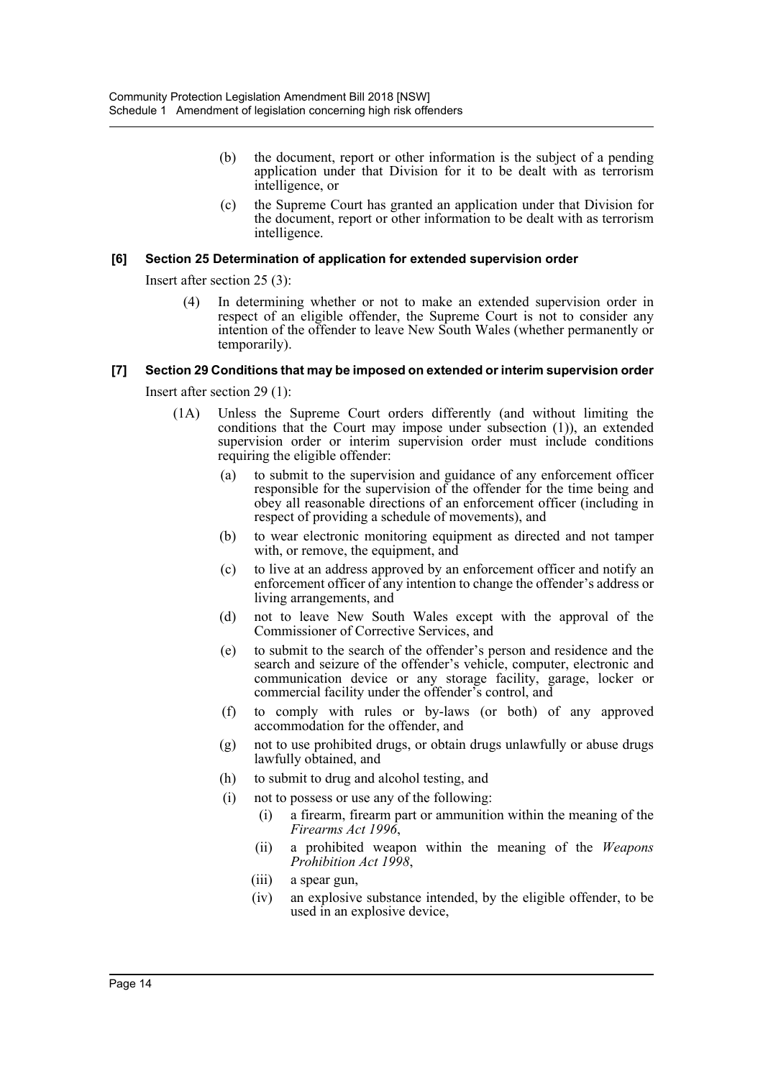- (b) the document, report or other information is the subject of a pending application under that Division for it to be dealt with as terrorism intelligence, or
- (c) the Supreme Court has granted an application under that Division for the document, report or other information to be dealt with as terrorism intelligence.

# **[6] Section 25 Determination of application for extended supervision order**

Insert after section 25 (3):

(4) In determining whether or not to make an extended supervision order in respect of an eligible offender, the Supreme Court is not to consider any intention of the offender to leave New South Wales (whether permanently or temporarily).

# **[7] Section 29 Conditions that may be imposed on extended or interim supervision order**

Insert after section 29 (1):

- (1A) Unless the Supreme Court orders differently (and without limiting the conditions that the Court may impose under subsection (1)), an extended supervision order or interim supervision order must include conditions requiring the eligible offender:
	- (a) to submit to the supervision and guidance of any enforcement officer responsible for the supervision of the offender for the time being and obey all reasonable directions of an enforcement officer (including in respect of providing a schedule of movements), and
	- (b) to wear electronic monitoring equipment as directed and not tamper with, or remove, the equipment, and
	- (c) to live at an address approved by an enforcement officer and notify an enforcement officer of any intention to change the offender's address or living arrangements, and
	- (d) not to leave New South Wales except with the approval of the Commissioner of Corrective Services, and
	- (e) to submit to the search of the offender's person and residence and the search and seizure of the offender's vehicle, computer, electronic and communication device or any storage facility, garage, locker or commercial facility under the offender's control, and
	- (f) to comply with rules or by-laws (or both) of any approved accommodation for the offender, and
	- (g) not to use prohibited drugs, or obtain drugs unlawfully or abuse drugs lawfully obtained, and
	- (h) to submit to drug and alcohol testing, and
	- (i) not to possess or use any of the following:
		- (i) a firearm, firearm part or ammunition within the meaning of the *Firearms Act 1996*,
		- (ii) a prohibited weapon within the meaning of the *Weapons Prohibition Act 1998*,
		- (iii) a spear gun,
		- (iv) an explosive substance intended, by the eligible offender, to be used in an explosive device,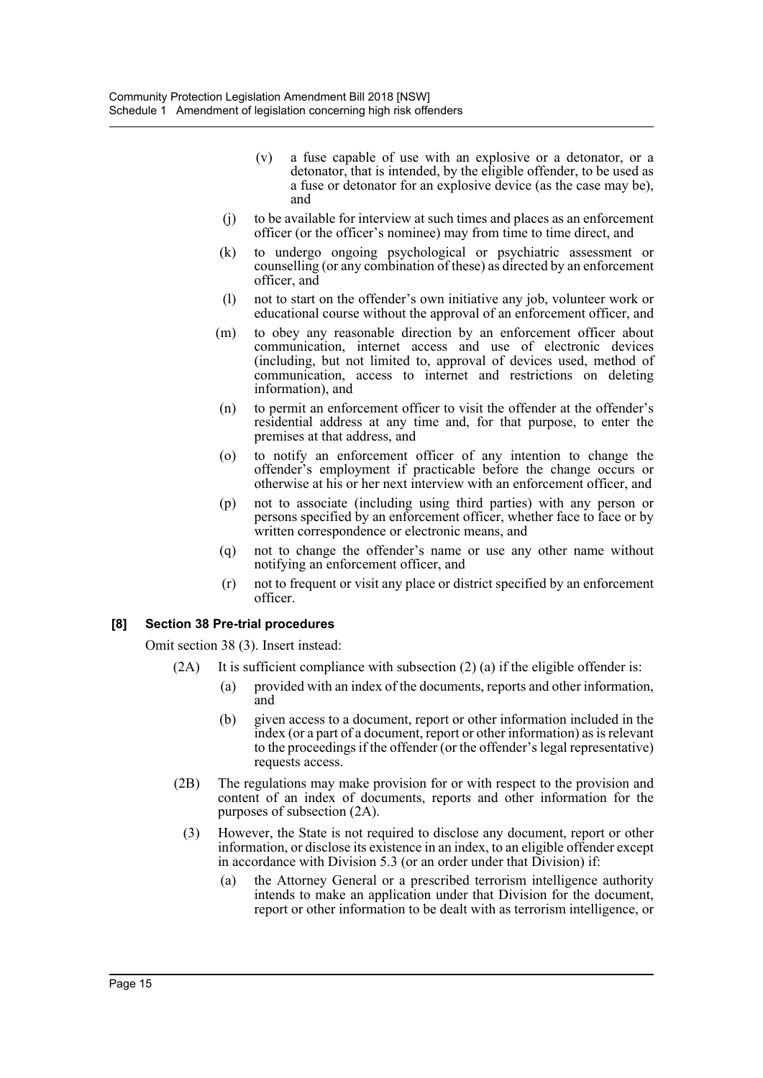- (v) a fuse capable of use with an explosive or a detonator, or a detonator, that is intended, by the eligible offender, to be used as a fuse or detonator for an explosive device (as the case may be), and
- (j) to be available for interview at such times and places as an enforcement officer (or the officer's nominee) may from time to time direct, and
- (k) to undergo ongoing psychological or psychiatric assessment or counselling (or any combination of these) as directed by an enforcement officer, and
- (l) not to start on the offender's own initiative any job, volunteer work or educational course without the approval of an enforcement officer, and
- (m) to obey any reasonable direction by an enforcement officer about communication, internet access and use of electronic devices (including, but not limited to, approval of devices used, method of communication, access to internet and restrictions on deleting information), and
- (n) to permit an enforcement officer to visit the offender at the offender's residential address at any time and, for that purpose, to enter the premises at that address, and
- (o) to notify an enforcement officer of any intention to change the offender's employment if practicable before the change occurs or otherwise at his or her next interview with an enforcement officer, and
- (p) not to associate (including using third parties) with any person or persons specified by an enforcement officer, whether face to face or by written correspondence or electronic means, and
- (q) not to change the offender's name or use any other name without notifying an enforcement officer, and
- (r) not to frequent or visit any place or district specified by an enforcement officer.

# **[8] Section 38 Pre-trial procedures**

Omit section 38 (3). Insert instead:

- $(2A)$  It is sufficient compliance with subsection  $(2)$  (a) if the eligible offender is:
	- (a) provided with an index of the documents, reports and other information, and
	- (b) given access to a document, report or other information included in the index (or a part of a document, report or other information) as is relevant to the proceedings if the offender (or the offender's legal representative) requests access.
- (2B) The regulations may make provision for or with respect to the provision and content of an index of documents, reports and other information for the purposes of subsection (2A).
	- (3) However, the State is not required to disclose any document, report or other information, or disclose its existence in an index, to an eligible offender except in accordance with Division 5.3 (or an order under that Division) if:
		- (a) the Attorney General or a prescribed terrorism intelligence authority intends to make an application under that Division for the document, report or other information to be dealt with as terrorism intelligence, or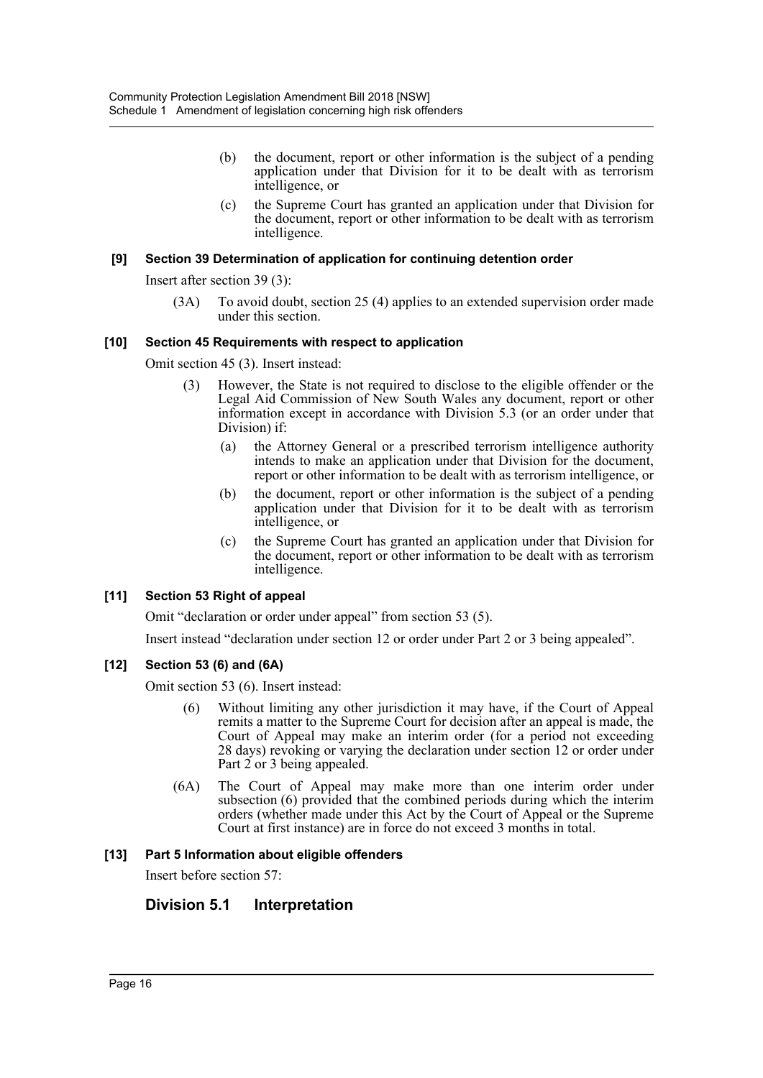- (b) the document, report or other information is the subject of a pending application under that Division for it to be dealt with as terrorism intelligence, or
- (c) the Supreme Court has granted an application under that Division for the document, report or other information to be dealt with as terrorism intelligence.

# **[9] Section 39 Determination of application for continuing detention order**

Insert after section 39 (3):

(3A) To avoid doubt, section 25 (4) applies to an extended supervision order made under this section.

## **[10] Section 45 Requirements with respect to application**

Omit section 45 (3). Insert instead:

- (3) However, the State is not required to disclose to the eligible offender or the Legal Aid Commission of New South Wales any document, report or other information except in accordance with Division 5.3 (or an order under that Division) if:
	- (a) the Attorney General or a prescribed terrorism intelligence authority intends to make an application under that Division for the document, report or other information to be dealt with as terrorism intelligence, or
	- (b) the document, report or other information is the subject of a pending application under that Division for it to be dealt with as terrorism intelligence, or
	- (c) the Supreme Court has granted an application under that Division for the document, report or other information to be dealt with as terrorism intelligence.

## **[11] Section 53 Right of appeal**

Omit "declaration or order under appeal" from section 53 (5).

Insert instead "declaration under section 12 or order under Part 2 or 3 being appealed".

## **[12] Section 53 (6) and (6A)**

Omit section 53 (6). Insert instead:

- (6) Without limiting any other jurisdiction it may have, if the Court of Appeal remits a matter to the Supreme Court for decision after an appeal is made, the Court of Appeal may make an interim order (for a period not exceeding 28 days) revoking or varying the declaration under section 12 or order under Part 2 or 3 being appealed.
- (6A) The Court of Appeal may make more than one interim order under subsection (6) provided that the combined periods during which the interim orders (whether made under this Act by the Court of Appeal or the Supreme Court at first instance) are in force do not exceed 3 months in total.

## **[13] Part 5 Information about eligible offenders**

Insert before section 57:

# **Division 5.1 Interpretation**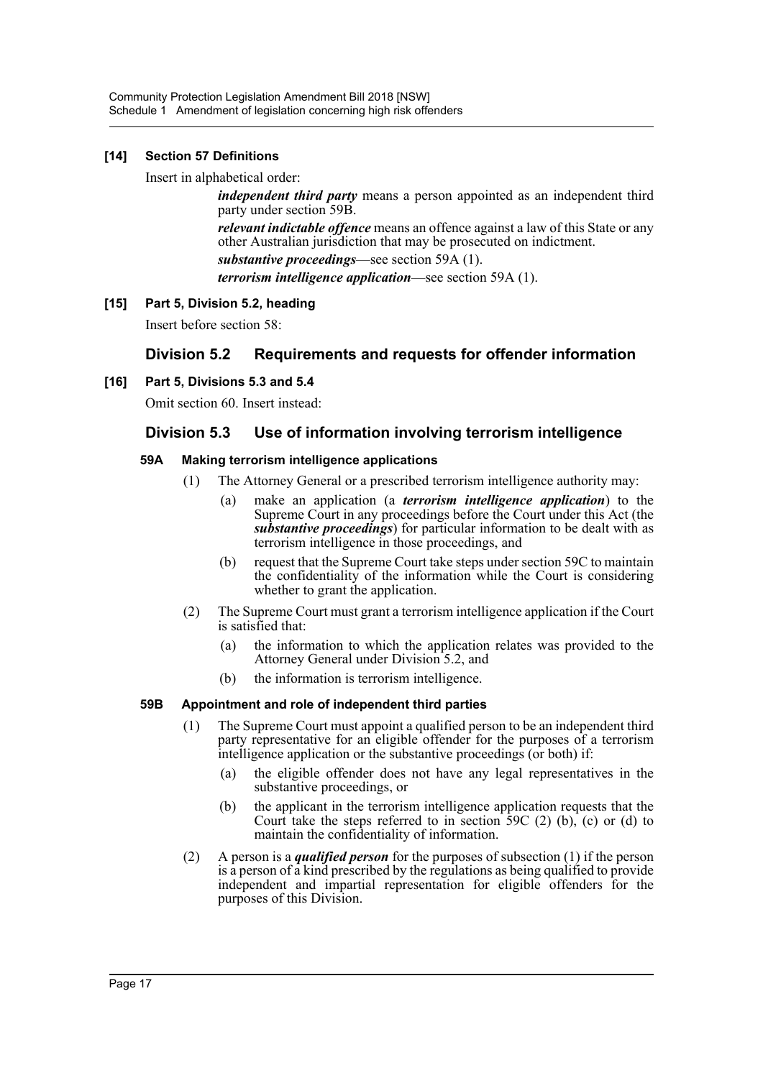# **[14] Section 57 Definitions**

Insert in alphabetical order:

*independent third party* means a person appointed as an independent third party under section 59B. *relevant indictable offence* means an offence against a law of this State or any other Australian jurisdiction that may be prosecuted on indictment. *substantive proceedings*—see section 59A (1). *terrorism intelligence application*—see section 59A (1).

# **[15] Part 5, Division 5.2, heading**

Insert before section 58:

# **Division 5.2 Requirements and requests for offender information**

# **[16] Part 5, Divisions 5.3 and 5.4**

Omit section 60. Insert instead:

# **Division 5.3 Use of information involving terrorism intelligence**

# **59A Making terrorism intelligence applications**

- (1) The Attorney General or a prescribed terrorism intelligence authority may:
	- (a) make an application (a *terrorism intelligence application*) to the Supreme Court in any proceedings before the Court under this Act (the *substantive proceedings*) for particular information to be dealt with as terrorism intelligence in those proceedings, and
	- (b) request that the Supreme Court take steps under section 59C to maintain the confidentiality of the information while the Court is considering whether to grant the application.
- (2) The Supreme Court must grant a terrorism intelligence application if the Court is satisfied that:
	- (a) the information to which the application relates was provided to the Attorney General under Division 5.2, and
	- (b) the information is terrorism intelligence.

# **59B Appointment and role of independent third parties**

- (1) The Supreme Court must appoint a qualified person to be an independent third party representative for an eligible offender for the purposes of a terrorism intelligence application or the substantive proceedings (or both) if:
	- (a) the eligible offender does not have any legal representatives in the substantive proceedings, or
	- (b) the applicant in the terrorism intelligence application requests that the Court take the steps referred to in section  $\overline{59C}$  (2) (b), (c) or (d) to maintain the confidentiality of information.
- (2) A person is a *qualified person* for the purposes of subsection (1) if the person is a person of a kind prescribed by the regulations as being qualified to provide independent and impartial representation for eligible offenders for the purposes of this Division.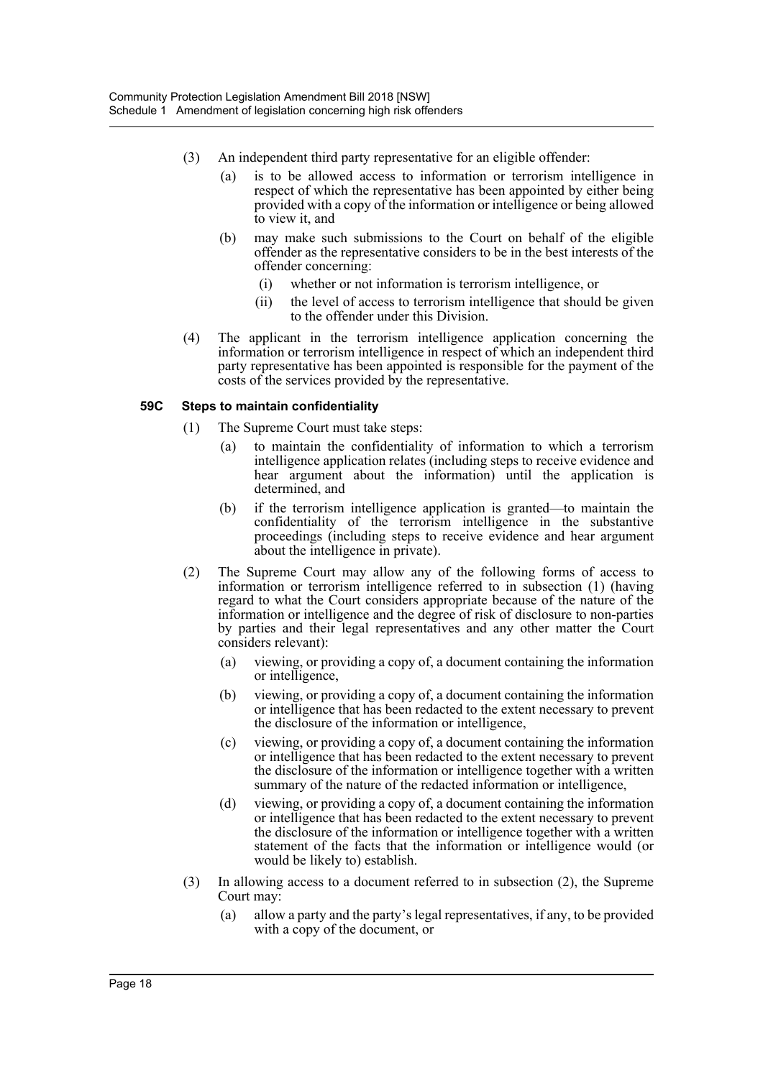- (3) An independent third party representative for an eligible offender:
	- (a) is to be allowed access to information or terrorism intelligence in respect of which the representative has been appointed by either being provided with a copy of the information or intelligence or being allowed to view it, and
	- (b) may make such submissions to the Court on behalf of the eligible offender as the representative considers to be in the best interests of the offender concerning:
		- (i) whether or not information is terrorism intelligence, or
		- (ii) the level of access to terrorism intelligence that should be given to the offender under this Division.
- (4) The applicant in the terrorism intelligence application concerning the information or terrorism intelligence in respect of which an independent third party representative has been appointed is responsible for the payment of the costs of the services provided by the representative.

## **59C Steps to maintain confidentiality**

- (1) The Supreme Court must take steps:
	- (a) to maintain the confidentiality of information to which a terrorism intelligence application relates (including steps to receive evidence and hear argument about the information) until the application is determined, and
	- (b) if the terrorism intelligence application is granted—to maintain the confidentiality of the terrorism intelligence in the substantive proceedings (including steps to receive evidence and hear argument about the intelligence in private).
- (2) The Supreme Court may allow any of the following forms of access to information or terrorism intelligence referred to in subsection (1) (having regard to what the Court considers appropriate because of the nature of the information or intelligence and the degree of risk of disclosure to non-parties by parties and their legal representatives and any other matter the Court considers relevant):
	- (a) viewing, or providing a copy of, a document containing the information or intelligence,
	- (b) viewing, or providing a copy of, a document containing the information or intelligence that has been redacted to the extent necessary to prevent the disclosure of the information or intelligence,
	- (c) viewing, or providing a copy of, a document containing the information or intelligence that has been redacted to the extent necessary to prevent the disclosure of the information or intelligence together with a written summary of the nature of the redacted information or intelligence,
	- (d) viewing, or providing a copy of, a document containing the information or intelligence that has been redacted to the extent necessary to prevent the disclosure of the information or intelligence together with a written statement of the facts that the information or intelligence would (or would be likely to) establish.
- (3) In allowing access to a document referred to in subsection (2), the Supreme Court may:
	- (a) allow a party and the party's legal representatives, if any, to be provided with a copy of the document, or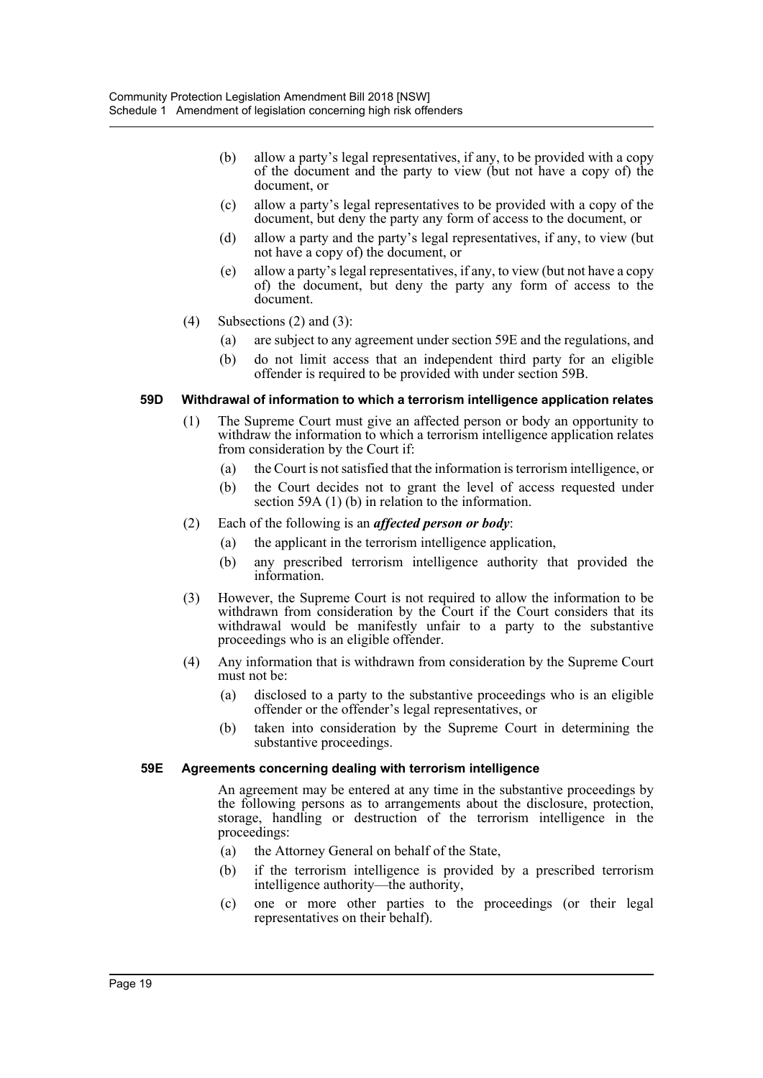- (b) allow a party's legal representatives, if any, to be provided with a copy of the document and the party to view (but not have a copy of) the document, or
- (c) allow a party's legal representatives to be provided with a copy of the document, but deny the party any form of access to the document, or
- (d) allow a party and the party's legal representatives, if any, to view (but not have a copy of) the document, or
- (e) allow a party's legal representatives, if any, to view (but not have a copy of) the document, but deny the party any form of access to the document.
- (4) Subsections (2) and (3):
	- (a) are subject to any agreement under section 59E and the regulations, and
	- (b) do not limit access that an independent third party for an eligible offender is required to be provided with under section 59B.

## **59D Withdrawal of information to which a terrorism intelligence application relates**

- (1) The Supreme Court must give an affected person or body an opportunity to withdraw the information to which a terrorism intelligence application relates from consideration by the Court if:
	- (a) the Court is not satisfied that the information is terrorism intelligence, or
	- (b) the Court decides not to grant the level of access requested under section 59A (1) (b) in relation to the information.
- (2) Each of the following is an *affected person or body*:
	- (a) the applicant in the terrorism intelligence application,
	- (b) any prescribed terrorism intelligence authority that provided the information.
- (3) However, the Supreme Court is not required to allow the information to be withdrawn from consideration by the Court if the Court considers that its withdrawal would be manifestly unfair to a party to the substantive proceedings who is an eligible offender.
- (4) Any information that is withdrawn from consideration by the Supreme Court must not be:
	- (a) disclosed to a party to the substantive proceedings who is an eligible offender or the offender's legal representatives, or
	- (b) taken into consideration by the Supreme Court in determining the substantive proceedings.

#### **59E Agreements concerning dealing with terrorism intelligence**

An agreement may be entered at any time in the substantive proceedings by the following persons as to arrangements about the disclosure, protection, storage, handling or destruction of the terrorism intelligence in the proceedings:

- (a) the Attorney General on behalf of the State,
- (b) if the terrorism intelligence is provided by a prescribed terrorism intelligence authority—the authority,
- (c) one or more other parties to the proceedings (or their legal representatives on their behalf).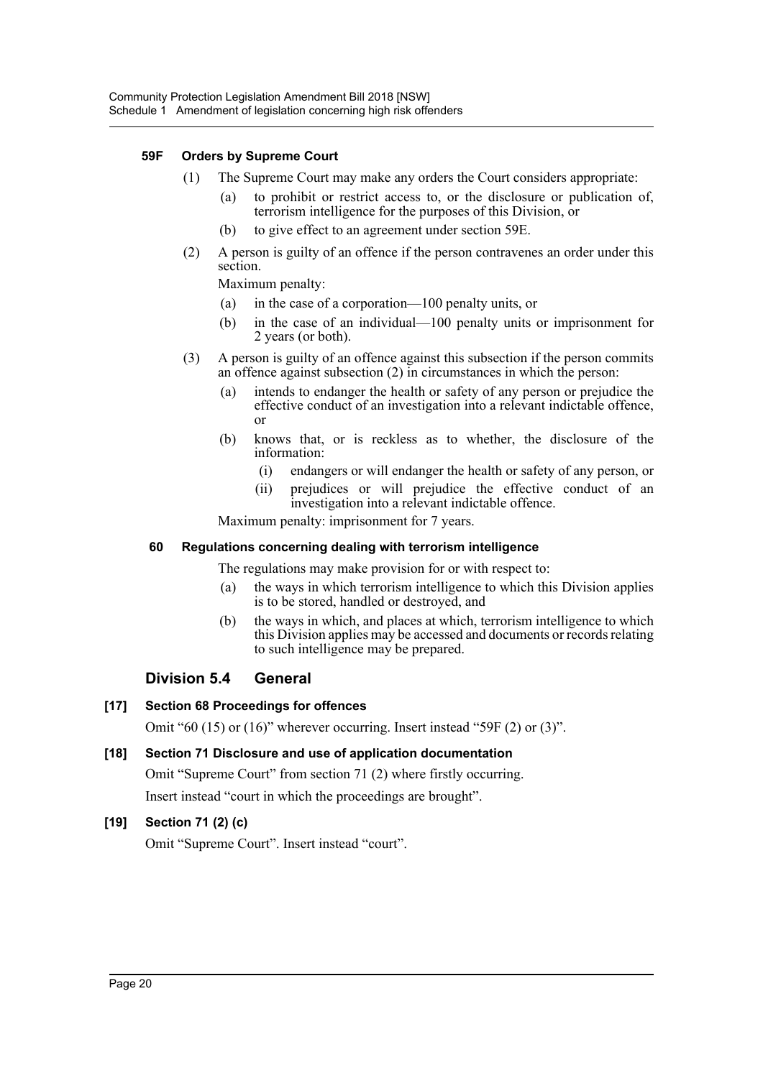# **59F Orders by Supreme Court**

- (1) The Supreme Court may make any orders the Court considers appropriate:
	- (a) to prohibit or restrict access to, or the disclosure or publication of, terrorism intelligence for the purposes of this Division, or
	- (b) to give effect to an agreement under section 59E.
- (2) A person is guilty of an offence if the person contravenes an order under this section.

Maximum penalty:

- (a) in the case of a corporation—100 penalty units, or
- (b) in the case of an individual—100 penalty units or imprisonment for 2 years (or both).
- (3) A person is guilty of an offence against this subsection if the person commits an offence against subsection (2) in circumstances in which the person:
	- (a) intends to endanger the health or safety of any person or prejudice the effective conduct of an investigation into a relevant indictable offence, or
	- (b) knows that, or is reckless as to whether, the disclosure of the information:
		- (i) endangers or will endanger the health or safety of any person, or
		- (ii) prejudices or will prejudice the effective conduct of an investigation into a relevant indictable offence.

Maximum penalty: imprisonment for 7 years.

# **60 Regulations concerning dealing with terrorism intelligence**

The regulations may make provision for or with respect to:

- (a) the ways in which terrorism intelligence to which this Division applies is to be stored, handled or destroyed, and
- (b) the ways in which, and places at which, terrorism intelligence to which this Division applies may be accessed and documents or records relating to such intelligence may be prepared.

# **Division 5.4 General**

# **[17] Section 68 Proceedings for offences**

Omit "60 (15) or (16)" wherever occurring. Insert instead "59F (2) or (3)".

# **[18] Section 71 Disclosure and use of application documentation**

Omit "Supreme Court" from section 71 (2) where firstly occurring.

Insert instead "court in which the proceedings are brought".

# **[19] Section 71 (2) (c)**

Omit "Supreme Court". Insert instead "court".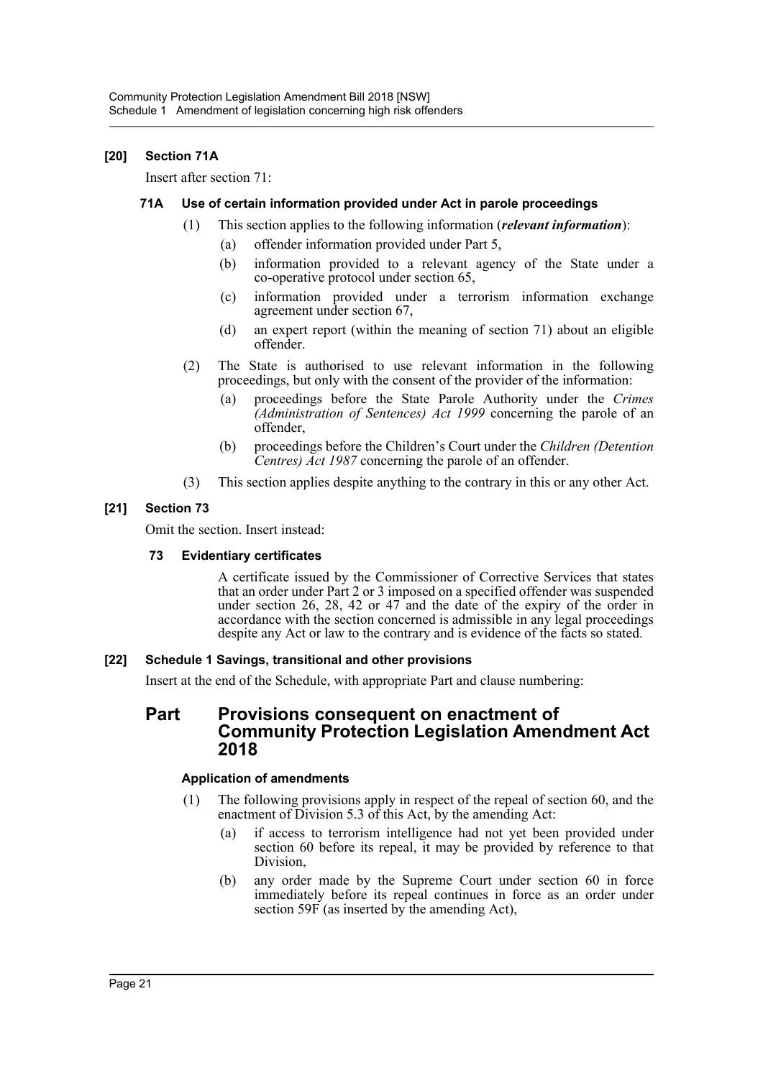# **[20] Section 71A**

Insert after section 71:

## **71A Use of certain information provided under Act in parole proceedings**

- (1) This section applies to the following information (*relevant information*):
	- (a) offender information provided under Part 5,
	- (b) information provided to a relevant agency of the State under a co-operative protocol under section 65,
	- (c) information provided under a terrorism information exchange agreement under section 67,
	- (d) an expert report (within the meaning of section 71) about an eligible offender.
- (2) The State is authorised to use relevant information in the following proceedings, but only with the consent of the provider of the information:
	- (a) proceedings before the State Parole Authority under the *Crimes (Administration of Sentences) Act 1999* concerning the parole of an offender,
	- (b) proceedings before the Children's Court under the *Children (Detention Centres) Act 1987* concerning the parole of an offender.
- (3) This section applies despite anything to the contrary in this or any other Act.

# **[21] Section 73**

Omit the section. Insert instead:

## **73 Evidentiary certificates**

A certificate issued by the Commissioner of Corrective Services that states that an order under Part 2 or 3 imposed on a specified offender was suspended under section 26, 28, 42 or 47 and the date of the expiry of the order in accordance with the section concerned is admissible in any legal proceedings despite any Act or law to the contrary and is evidence of the facts so stated.

## **[22] Schedule 1 Savings, transitional and other provisions**

Insert at the end of the Schedule, with appropriate Part and clause numbering:

# **Part Provisions consequent on enactment of Community Protection Legislation Amendment Act 2018**

## **Application of amendments**

- (1) The following provisions apply in respect of the repeal of section 60, and the enactment of Division 5.3 of this Act, by the amending Act:
	- (a) if access to terrorism intelligence had not yet been provided under section 60 before its repeal, it may be provided by reference to that Division,
	- (b) any order made by the Supreme Court under section 60 in force immediately before its repeal continues in force as an order under section 59F (as inserted by the amending Act),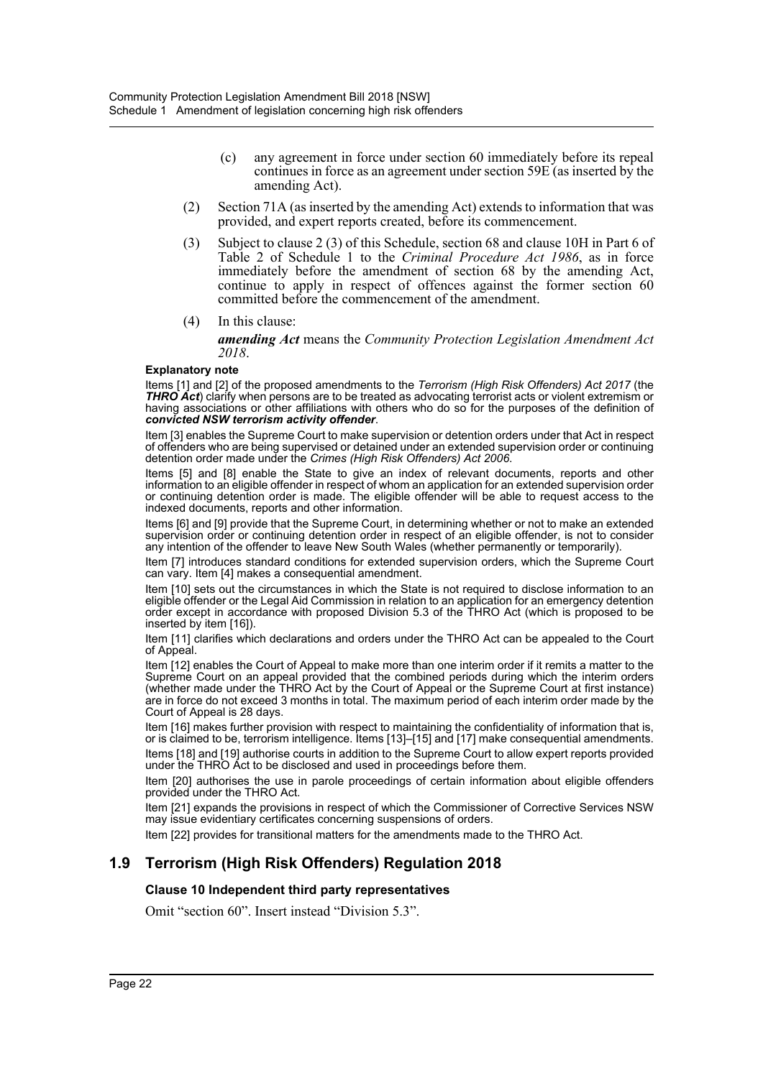- (c) any agreement in force under section 60 immediately before its repeal continues in force as an agreement under section 59E (as inserted by the amending Act).
- (2) Section 71A (as inserted by the amending Act) extends to information that was provided, and expert reports created, before its commencement.
- (3) Subject to clause 2 (3) of this Schedule, section 68 and clause 10H in Part 6 of Table 2 of Schedule 1 to the *Criminal Procedure Act 1986*, as in force immediately before the amendment of section 68 by the amending Act, continue to apply in respect of offences against the former section 60 committed before the commencement of the amendment.
- (4) In this clause:

*amending Act* means the *Community Protection Legislation Amendment Act 2018*.

#### **Explanatory note**

Items [1] and [2] of the proposed amendments to the *Terrorism (High Risk Offenders) Act 2017* (the *THRO Act*) clarify when persons are to be treated as advocating terrorist acts or violent extremism or having associations or other affiliations with others who do so for the purposes of the definition of *convicted NSW terrorism activity offender*.

Item [3] enables the Supreme Court to make supervision or detention orders under that Act in respect of offenders who are being supervised or detained under an extended supervision order or continuing detention order made under the *Crimes (High Risk Offenders) Act 2006*.

Items [5] and [8] enable the State to give an index of relevant documents, reports and other information to an eligible offender in respect of whom an application for an extended supervision order or continuing detention order is made. The eligible offender will be able to request access to the indexed documents, reports and other information.

Items [6] and [9] provide that the Supreme Court, in determining whether or not to make an extended supervision order or continuing detention order in respect of an eligible offender, is not to consider any intention of the offender to leave New South Wales (whether permanently or temporarily).

Item [7] introduces standard conditions for extended supervision orders, which the Supreme Court can vary. Item [4] makes a consequential amendment.

Item [10] sets out the circumstances in which the State is not required to disclose information to an eligible offender or the Legal Aid Commission in relation to an application for an emergency detention order except in accordance with proposed Division 5.3 of the THRO Act (which is proposed to be inserted by item [16]).

Item [11] clarifies which declarations and orders under the THRO Act can be appealed to the Court of Appeal.

Item [12] enables the Court of Appeal to make more than one interim order if it remits a matter to the Supreme Court on an appeal provided that the combined periods during which the interim orders (whether made under the THRO Act by the Court of Appeal or the Supreme Court at first instance) are in force do not exceed 3 months in total. The maximum period of each interim order made by the Court of Appeal is 28 days.

Item [16] makes further provision with respect to maintaining the confidentiality of information that is, or is claimed to be, terrorism intelligence. Items [13]–[15] and [17] make consequential amendments. Items [18] and [19] authorise courts in addition to the Supreme Court to allow expert reports provided under the THRO Act to be disclosed and used in proceedings before them.

Item [20] authorises the use in parole proceedings of certain information about eligible offenders provided under the THRO Act.

Item [21] expands the provisions in respect of which the Commissioner of Corrective Services NSW may issue evidentiary certificates concerning suspensions of orders.

Item [22] provides for transitional matters for the amendments made to the THRO Act.

# **1.9 Terrorism (High Risk Offenders) Regulation 2018**

## **Clause 10 Independent third party representatives**

Omit "section 60". Insert instead "Division 5.3".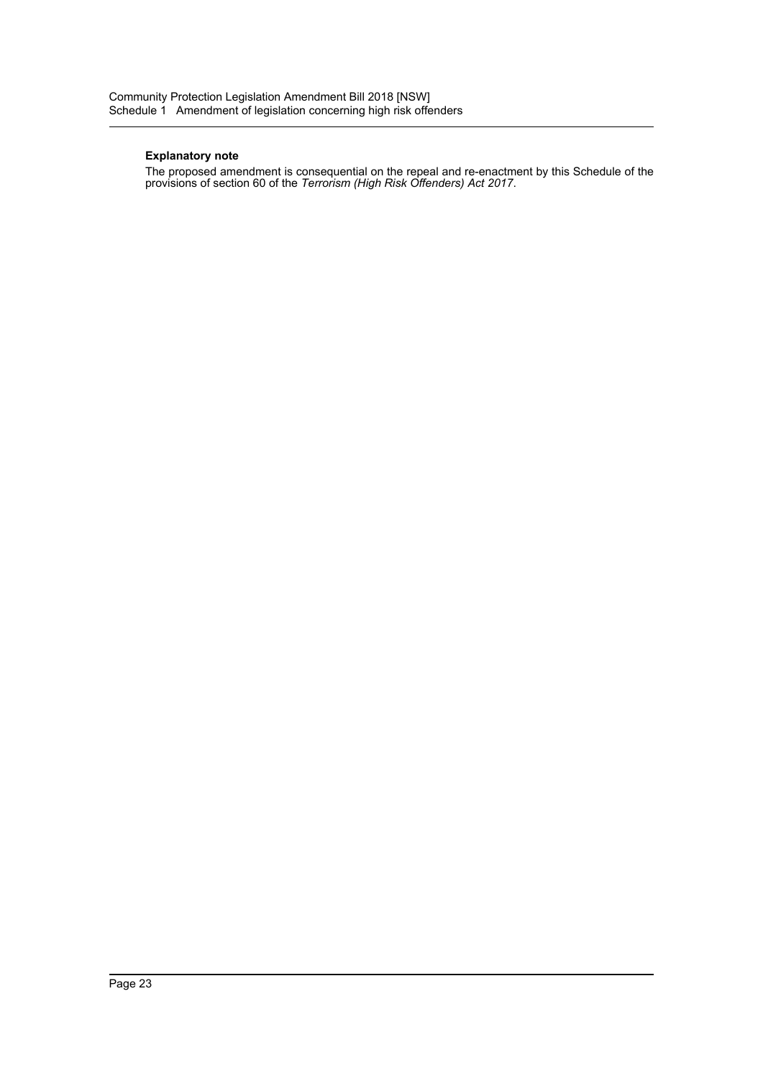#### **Explanatory note**

The proposed amendment is consequential on the repeal and re-enactment by this Schedule of the provisions of section 60 of the *Terrorism (High Risk Offenders) Act 2017*.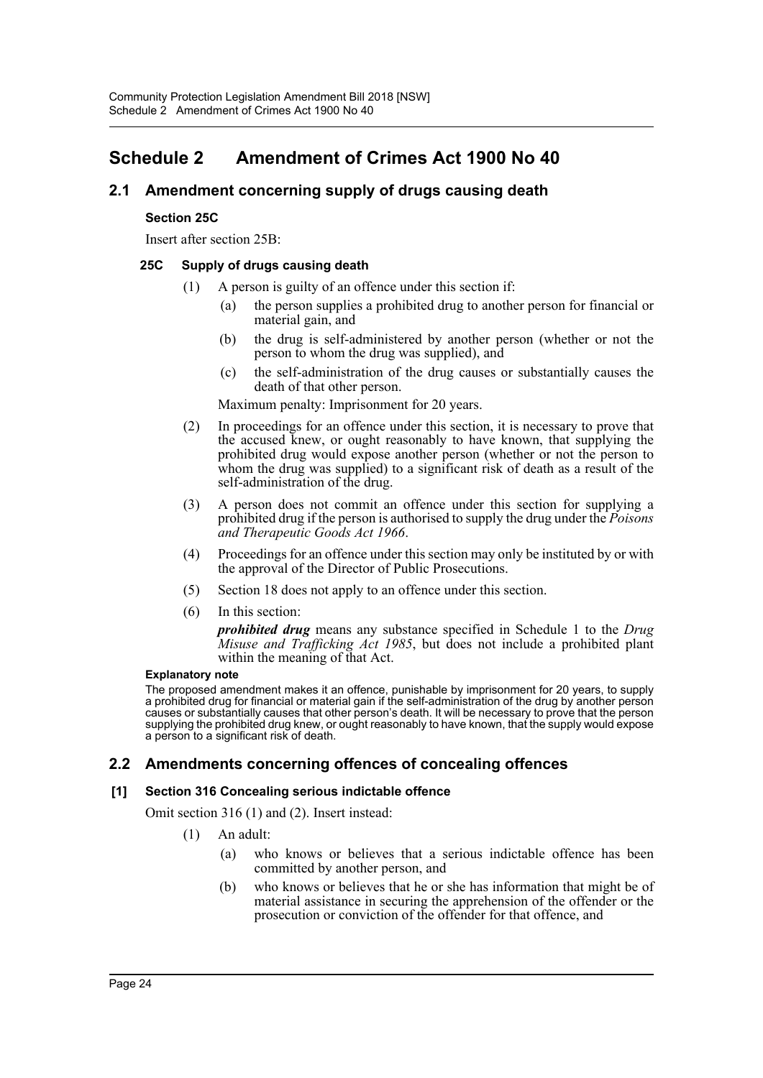# <span id="page-24-0"></span>**Schedule 2 Amendment of Crimes Act 1900 No 40**

# **2.1 Amendment concerning supply of drugs causing death**

# **Section 25C**

Insert after section 25B:

# **25C Supply of drugs causing death**

- (1) A person is guilty of an offence under this section if:
	- (a) the person supplies a prohibited drug to another person for financial or material gain, and
	- (b) the drug is self-administered by another person (whether or not the person to whom the drug was supplied), and
	- (c) the self-administration of the drug causes or substantially causes the death of that other person.

Maximum penalty: Imprisonment for 20 years.

- (2) In proceedings for an offence under this section, it is necessary to prove that the accused knew, or ought reasonably to have known, that supplying the prohibited drug would expose another person (whether or not the person to whom the drug was supplied) to a significant risk of death as a result of the self-administration of the drug.
- (3) A person does not commit an offence under this section for supplying a prohibited drug if the person is authorised to supply the drug under the *Poisons and Therapeutic Goods Act 1966*.
- (4) Proceedings for an offence under this section may only be instituted by or with the approval of the Director of Public Prosecutions.
- (5) Section 18 does not apply to an offence under this section.
- (6) In this section:

*prohibited drug* means any substance specified in Schedule 1 to the *Drug Misuse and Trafficking Act 1985*, but does not include a prohibited plant within the meaning of that Act.

#### **Explanatory note**

The proposed amendment makes it an offence, punishable by imprisonment for 20 years, to supply a prohibited drug for financial or material gain if the self-administration of the drug by another person causes or substantially causes that other person's death. It will be necessary to prove that the person supplying the prohibited drug knew, or ought reasonably to have known, that the supply would expose a person to a significant risk of death.

# **2.2 Amendments concerning offences of concealing offences**

## **[1] Section 316 Concealing serious indictable offence**

Omit section 316 (1) and (2). Insert instead:

- (1) An adult:
	- (a) who knows or believes that a serious indictable offence has been committed by another person, and
	- (b) who knows or believes that he or she has information that might be of material assistance in securing the apprehension of the offender or the prosecution or conviction of the offender for that offence, and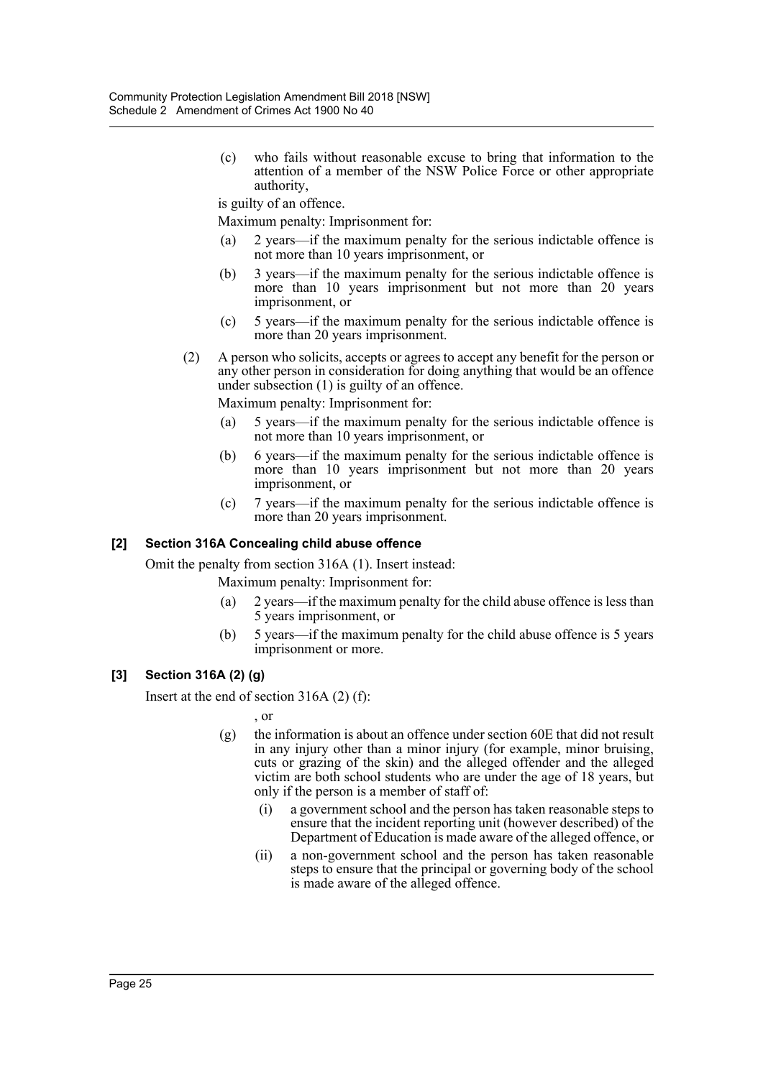(c) who fails without reasonable excuse to bring that information to the attention of a member of the NSW Police Force or other appropriate authority,

is guilty of an offence.

Maximum penalty: Imprisonment for:

- 2 years—if the maximum penalty for the serious indictable offence is not more than 10 years imprisonment, or
- (b) 3 years—if the maximum penalty for the serious indictable offence is more than 10 years imprisonment but not more than 20 years imprisonment, or
- (c) 5 years—if the maximum penalty for the serious indictable offence is more than 20 years imprisonment.
- (2) A person who solicits, accepts or agrees to accept any benefit for the person or any other person in consideration for doing anything that would be an offence under subsection (1) is guilty of an offence.

Maximum penalty: Imprisonment for:

- (a) 5 years—if the maximum penalty for the serious indictable offence is not more than 10 years imprisonment, or
- (b) 6 years—if the maximum penalty for the serious indictable offence is more than 10 years imprisonment but not more than 20 years imprisonment, or
- (c) 7 years—if the maximum penalty for the serious indictable offence is more than 20 years imprisonment.

## **[2] Section 316A Concealing child abuse offence**

Omit the penalty from section 316A (1). Insert instead:

Maximum penalty: Imprisonment for:

- (a) 2 years—if the maximum penalty for the child abuse offence is less than 5 years imprisonment, or
- (b) 5 years—if the maximum penalty for the child abuse offence is 5 years imprisonment or more.

## **[3] Section 316A (2) (g)**

Insert at the end of section 316A (2) (f):

- , or
- (g) the information is about an offence under section 60E that did not result in any injury other than a minor injury (for example, minor bruising, cuts or grazing of the skin) and the alleged offender and the alleged victim are both school students who are under the age of 18 years, but only if the person is a member of staff of:
	- (i) a government school and the person has taken reasonable steps to ensure that the incident reporting unit (however described) of the Department of Education is made aware of the alleged offence, or
	- (ii) a non-government school and the person has taken reasonable steps to ensure that the principal or governing body of the school is made aware of the alleged offence.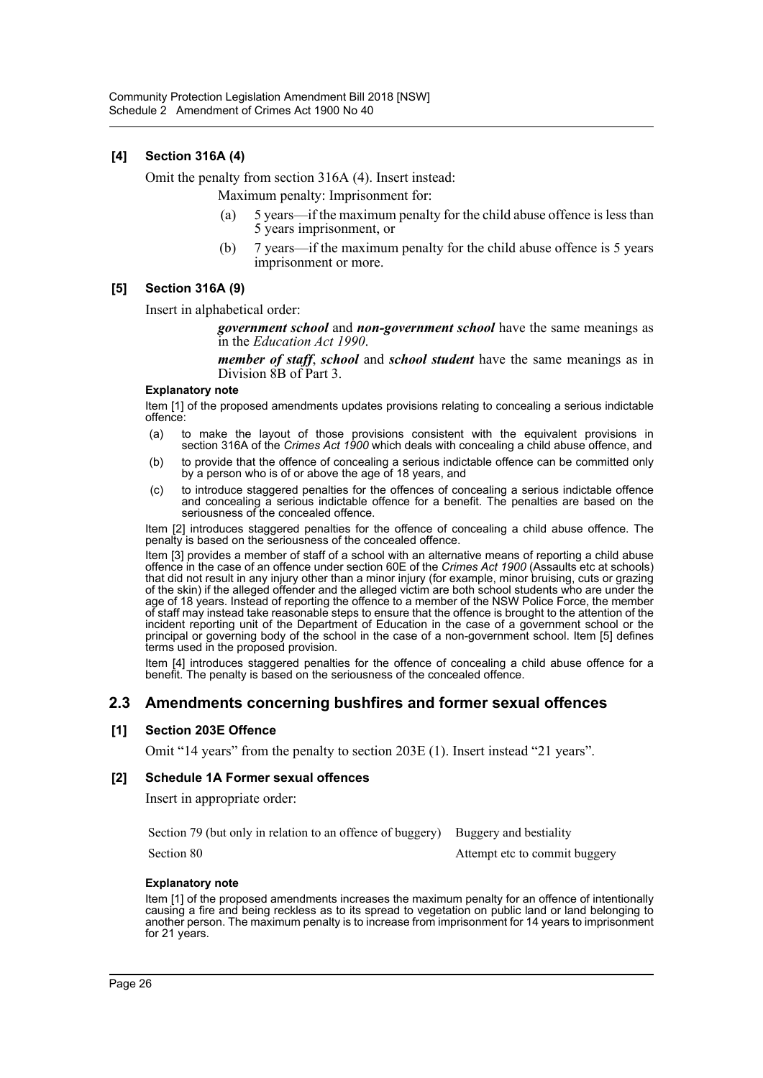# **[4] Section 316A (4)**

Omit the penalty from section 316A (4). Insert instead:

Maximum penalty: Imprisonment for:

- (a) 5 years—if the maximum penalty for the child abuse offence is less than 5 years imprisonment, or
- (b) 7 years—if the maximum penalty for the child abuse offence is 5 years imprisonment or more.

## **[5] Section 316A (9)**

Insert in alphabetical order:

*government school* and *non-government school* have the same meanings as in the *Education Act 1990*.

*member of staff*, *school* and *school student* have the same meanings as in Division 8B of Part 3.

#### **Explanatory note**

Item [1] of the proposed amendments updates provisions relating to concealing a serious indictable offence:

- (a) to make the layout of those provisions consistent with the equivalent provisions in section 316A of the *Crimes Act 1900* which deals with concealing a child abuse offence, and
- (b) to provide that the offence of concealing a serious indictable offence can be committed only by a person who is of or above the age of 18 years, and
- (c) to introduce staggered penalties for the offences of concealing a serious indictable offence and concealing a serious indictable offence for a benefit. The penalties are based on the seriousness of the concealed offence.

Item [2] introduces staggered penalties for the offence of concealing a child abuse offence. The penalty is based on the seriousness of the concealed offence.

Item [3] provides a member of staff of a school with an alternative means of reporting a child abuse offence in the case of an offence under section 60E of the *Crimes Act 1900* (Assaults etc at schools) that did not result in any injury other than a minor injury (for example, minor bruising, cuts or grazing of the skin) if the alleged offender and the alleged victim are both school students who are under the age of 18 years. Instead of reporting the offence to a member of the NSW Police Force, the member of staff may instead take reasonable steps to ensure that the offence is brought to the attention of the incident reporting unit of the Department of Education in the case of a government school or the principal or governing body of the school in the case of a non-government school. Item [5] defines terms used in the proposed provision.

Item [4] introduces staggered penalties for the offence of concealing a child abuse offence for a benefit. The penalty is based on the seriousness of the concealed offence.

# **2.3 Amendments concerning bushfires and former sexual offences**

#### **[1] Section 203E Offence**

Omit "14 years" from the penalty to section 203E (1). Insert instead "21 years".

#### **[2] Schedule 1A Former sexual offences**

Insert in appropriate order:

Section 79 (but only in relation to an offence of buggery) Buggery and bestiality Section 80 Attempt etc to commit buggery

# **Explanatory note**

Item [1] of the proposed amendments increases the maximum penalty for an offence of intentionally causing a fire and being reckless as to its spread to vegetation on public land or land belonging to another person. The maximum penalty is to increase from imprisonment for 14 years to imprisonment for 21 years.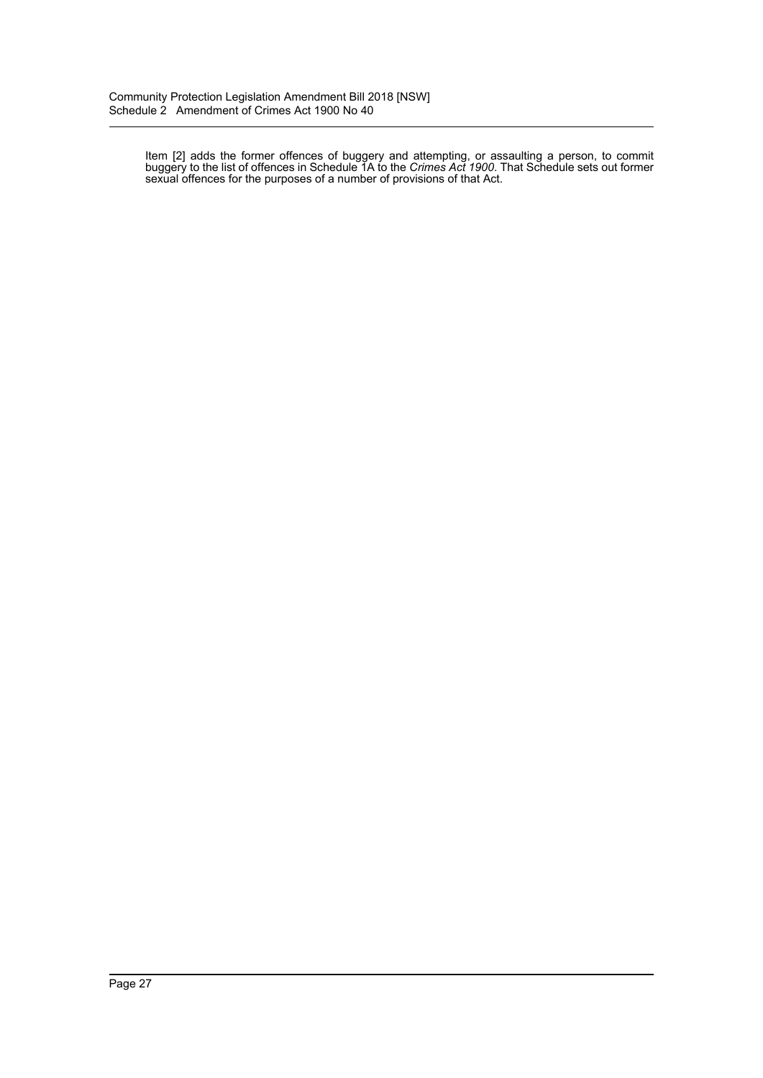Item [2] adds the former offences of buggery and attempting, or assaulting a person, to commit buggery to the list of offences in Schedule 1A to the *Crimes Act 1900*. That Schedule sets out former sexual offences for the purposes of a number of provisions of that Act.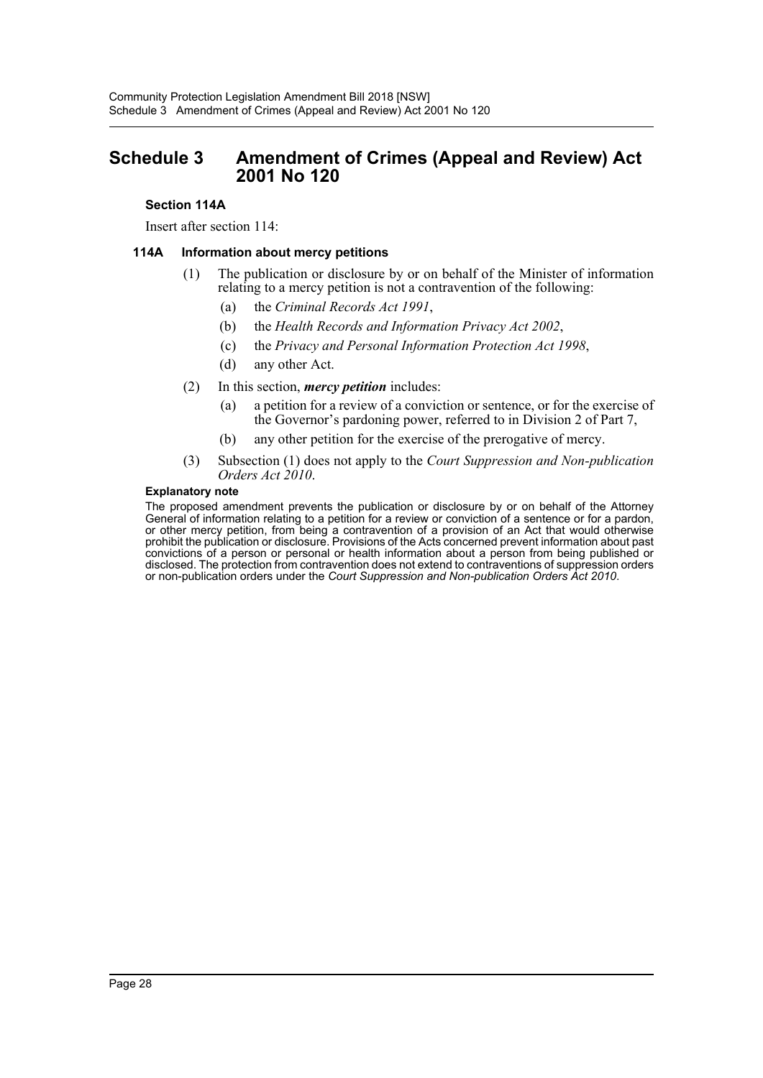# <span id="page-28-0"></span>**Schedule 3 Amendment of Crimes (Appeal and Review) Act 2001 No 120**

# **Section 114A**

Insert after section 114:

# **114A Information about mercy petitions**

- (1) The publication or disclosure by or on behalf of the Minister of information relating to a mercy petition is not a contravention of the following:
	- (a) the *Criminal Records Act 1991*,
	- (b) the *Health Records and Information Privacy Act 2002*,
	- (c) the *Privacy and Personal Information Protection Act 1998*,
	- (d) any other Act.
- (2) In this section, *mercy petition* includes:
	- (a) a petition for a review of a conviction or sentence, or for the exercise of the Governor's pardoning power, referred to in Division 2 of Part 7,
	- (b) any other petition for the exercise of the prerogative of mercy.
- (3) Subsection (1) does not apply to the *Court Suppression and Non-publication Orders Act 2010*.

#### **Explanatory note**

The proposed amendment prevents the publication or disclosure by or on behalf of the Attorney General of information relating to a petition for a review or conviction of a sentence or for a pardon, or other mercy petition, from being a contravention of a provision of an Act that would otherwise prohibit the publication or disclosure. Provisions of the Acts concerned prevent information about past convictions of a person or personal or health information about a person from being published or disclosed. The protection from contravention does not extend to contraventions of suppression orders or non-publication orders under the *Court Suppression and Non-publication Orders Act 2010*.